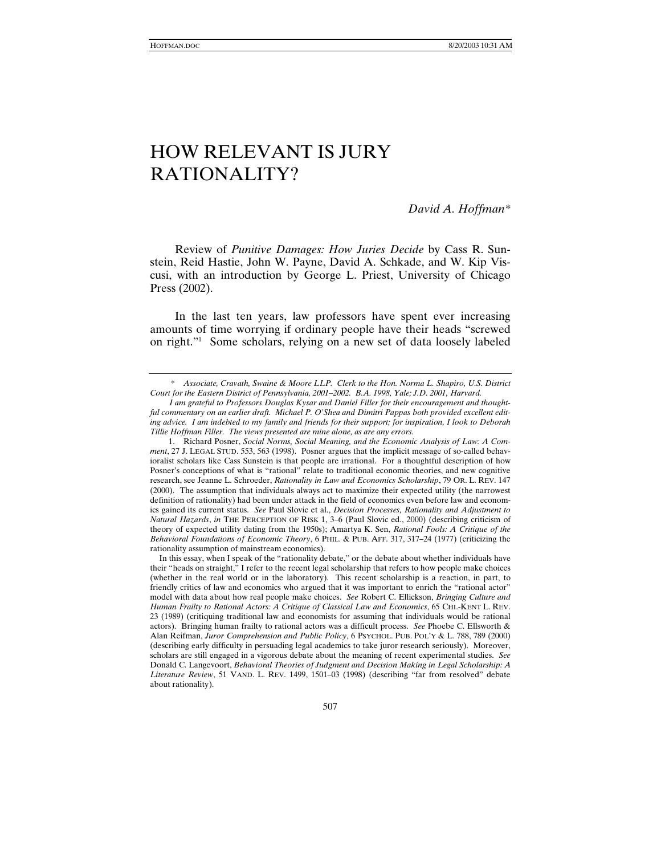*David A. Hoffman\** 

Review of *Punitive Damages: How Juries Decide* by Cass R. Sunstein, Reid Hastie, John W. Payne, David A. Schkade, and W. Kip Viscusi, with an introduction by George L. Priest, University of Chicago Press (2002).

In the last ten years, law professors have spent ever increasing amounts of time worrying if ordinary people have their heads "screwed on right."1 Some scholars, relying on a new set of data loosely labeled

 <sup>\*</sup> *Associate, Cravath, Swaine & Moore LLP. Clerk to the Hon. Norma L. Shapiro, U.S. District Court for the Eastern District of Pennsylvania, 2001–2002. B.A. 1998, Yale; J.D. 2001, Harvard.* 

*I am grateful to Professors Douglas Kysar and Daniel Filler for their encouragement and thoughtful commentary on an earlier draft. Michael P. O'Shea and Dimitri Pappas both provided excellent editing advice. I am indebted to my family and friends for their support; for inspiration, I look to Deborah Tillie Hoffman Filler. The views presented are mine alone, as are any errors.*

 <sup>1.</sup> Richard Posner, *Social Norms, Social Meaning, and the Economic Analysis of Law: A Comment*, 27 J. LEGAL STUD. 553, 563 (1998). Posner argues that the implicit message of so-called behavioralist scholars like Cass Sunstein is that people are irrational. For a thoughtful description of how Posner's conceptions of what is "rational" relate to traditional economic theories, and new cognitive research, see Jeanne L. Schroeder, *Rationality in Law and Economics Scholarship*, 79 OR. L. REV. 147 (2000). The assumption that individuals always act to maximize their expected utility (the narrowest definition of rationality) had been under attack in the field of economics even before law and economics gained its current status. *See* Paul Slovic et al., *Decision Processes, Rationality and Adjustment to Natural Hazards*, *in* THE PERCEPTION OF RISK 1, 3–6 (Paul Slovic ed., 2000) (describing criticism of theory of expected utility dating from the 1950s); Amartya K. Sen, *Rational Fools: A Critique of the Behavioral Foundations of Economic Theory*, 6 PHIL. & PUB. AFF. 317, 317–24 (1977) (criticizing the rationality assumption of mainstream economics).

In this essay, when I speak of the "rationality debate," or the debate about whether individuals have their "heads on straight," I refer to the recent legal scholarship that refers to how people make choices (whether in the real world or in the laboratory). This recent scholarship is a reaction, in part, to friendly critics of law and economics who argued that it was important to enrich the "rational actor" model with data about how real people make choices. *See* Robert C. Ellickson, *Bringing Culture and Human Frailty to Rational Actors: A Critique of Classical Law and Economics*, 65 CHI.-KENT L. REV. 23 (1989) (critiquing traditional law and economists for assuming that individuals would be rational actors). Bringing human frailty to rational actors was a difficult process. *See* Phoebe C. Ellsworth & Alan Reifman, *Juror Comprehension and Public Policy*, 6 PSYCHOL. PUB. POL'Y & L. 788, 789 (2000) (describing early difficulty in persuading legal academics to take juror research seriously). Moreover, scholars are still engaged in a vigorous debate about the meaning of recent experimental studies. *See* Donald C. Langevoort, *Behavioral Theories of Judgment and Decision Making in Legal Scholarship: A Literature Review*, 51 VAND. L. REV. 1499, 1501–03 (1998) (describing "far from resolved" debate about rationality).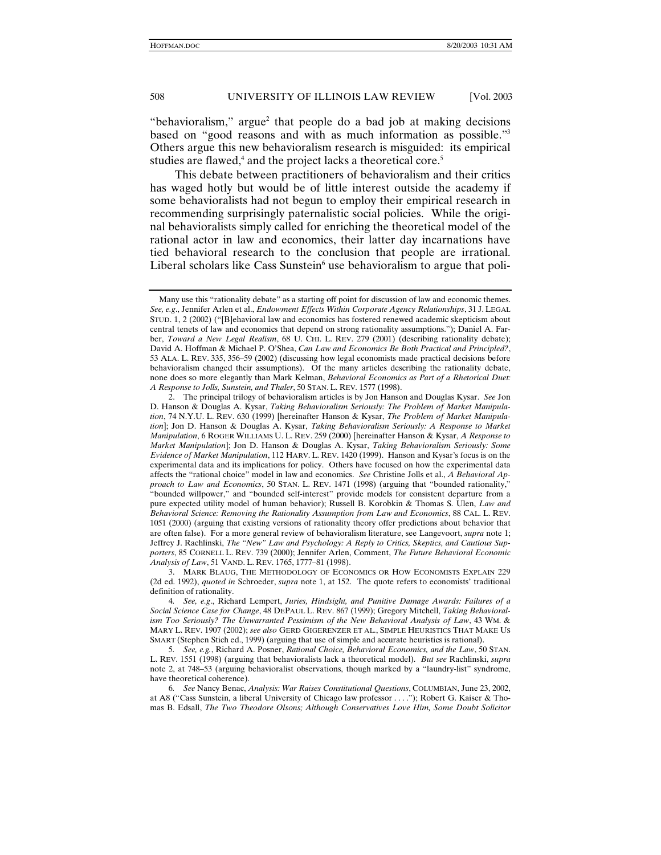"behavioralism," argue<sup>2</sup> that people do a bad job at making decisions based on "good reasons and with as much information as possible."3 Others argue this new behavioralism research is misguided: its empirical studies are flawed,<sup>4</sup> and the project lacks a theoretical core.<sup>5</sup>

This debate between practitioners of behavioralism and their critics has waged hotly but would be of little interest outside the academy if some behavioralists had not begun to employ their empirical research in recommending surprisingly paternalistic social policies. While the original behavioralists simply called for enriching the theoretical model of the rational actor in law and economics, their latter day incarnations have tied behavioral research to the conclusion that people are irrational. Liberal scholars like Cass Sunstein<sup>6</sup> use behavioralism to argue that poli-

Many use this "rationality debate" as a starting off point for discussion of law and economic themes. *See, e.g*., Jennifer Arlen et al., *Endowment Effects Within Corporate Agency Relationships*, 31 J. LEGAL STUD. 1, 2 (2002) ("[B]ehavioral law and economics has fostered renewed academic skepticism about central tenets of law and economics that depend on strong rationality assumptions."); Daniel A. Farber, *Toward a New Legal Realism*, 68 U. CHI. L. REV. 279 (2001) (describing rationality debate); David A. Hoffman & Michael P. O'Shea, *Can Law and Economics Be Both Practical and Principled?*, 53 ALA. L. REV. 335, 356–59 (2002) (discussing how legal economists made practical decisions before behavioralism changed their assumptions). Of the many articles describing the rationality debate, none does so more elegantly than Mark Kelman, *Behavioral Economics as Part of a Rhetorical Duet: A Response to Jolls, Sunstein, and Thaler*, 50 STAN. L. REV. 1577 (1998).

 <sup>2.</sup> The principal trilogy of behavioralism articles is by Jon Hanson and Douglas Kysar. *See* Jon D. Hanson & Douglas A. Kysar, *Taking Behavioralism Seriously: The Problem of Market Manipulation*, 74 N.Y.U. L. REV. 630 (1999) [hereinafter Hanson & Kysar, *The Problem of Market Manipulation*]; Jon D. Hanson & Douglas A. Kysar, *Taking Behavioralism Seriously: A Response to Market Manipulation*, 6 ROGER WILLIAMS U. L. REV. 259 (2000) [hereinafter Hanson & Kysar, *A Response to Market Manipulation*]; Jon D. Hanson & Douglas A. Kysar, *Taking Behavioralism Seriously: Some Evidence of Market Manipulation*, 112 HARV. L. REV. 1420 (1999). Hanson and Kysar's focus is on the experimental data and its implications for policy. Others have focused on how the experimental data affects the "rational choice" model in law and economics. *See* Christine Jolls et al., *A Behavioral Approach to Law and Economics*, 50 STAN. L. REV. 1471 (1998) (arguing that "bounded rationality," "bounded willpower," and "bounded self-interest" provide models for consistent departure from a pure expected utility model of human behavior); Russell B. Korobkin & Thomas S. Ulen, *Law and Behavioral Science: Removing the Rationality Assumption from Law and Economics*, 88 CAL. L. REV. 1051 (2000) (arguing that existing versions of rationality theory offer predictions about behavior that are often false). For a more general review of behavioralism literature, see Langevoort, *supra* note 1; Jeffrey J. Rachlinski, *The "New" Law and Psychology: A Reply to Critics, Skeptics, and Cautious Supporters*, 85 CORNELL L. REV. 739 (2000); Jennifer Arlen, Comment, *The Future Behavioral Economic Analysis of Law*, 51 VAND. L. REV. 1765, 1777–81 (1998).

 <sup>3.</sup> MARK BLAUG, THE METHODOLOGY OF ECONOMICS OR HOW ECONOMISTS EXPLAIN 229 (2d ed. 1992), *quoted in* Schroeder, *supra* note 1, at 152. The quote refers to economists' traditional definition of rationality.

<sup>4</sup>*. See, e.g*., Richard Lempert, *Juries, Hindsight, and Punitive Damage Awards: Failures of a Social Science Case for Change*, 48 DEPAUL L. REV. 867 (1999); Gregory Mitchell, *Taking Behavioralism Too Seriously? The Unwarranted Pessimism of the New Behavioral Analysis of Law*, 43 WM. & MARY L. REV. 1907 (2002); *see also* GERD GIGERENZER ET AL., SIMPLE HEURISTICS THAT MAKE US SMART (Stephen Stich ed., 1999) (arguing that use of simple and accurate heuristics is rational).

<sup>5</sup>*. See, e.g.*, Richard A. Posner, *Rational Choice, Behavioral Economics, and the Law*, 50 STAN. L. REV. 1551 (1998) (arguing that behavioralists lack a theoretical model). *But see* Rachlinski, *supra* note 2, at 748–53 (arguing behavioralist observations, though marked by a "laundry-list" syndrome, have theoretical coherence).

<sup>6</sup>*. See* Nancy Benac, *Analysis: War Raises Constitutional Questions*, COLUMBIAN, June 23, 2002, at A8 ("Cass Sunstein, a liberal University of Chicago law professor . . . ."); Robert G. Kaiser & Thomas B. Edsall, *The Two Theodore Olsons; Although Conservatives Love Him, Some Doubt Solicitor*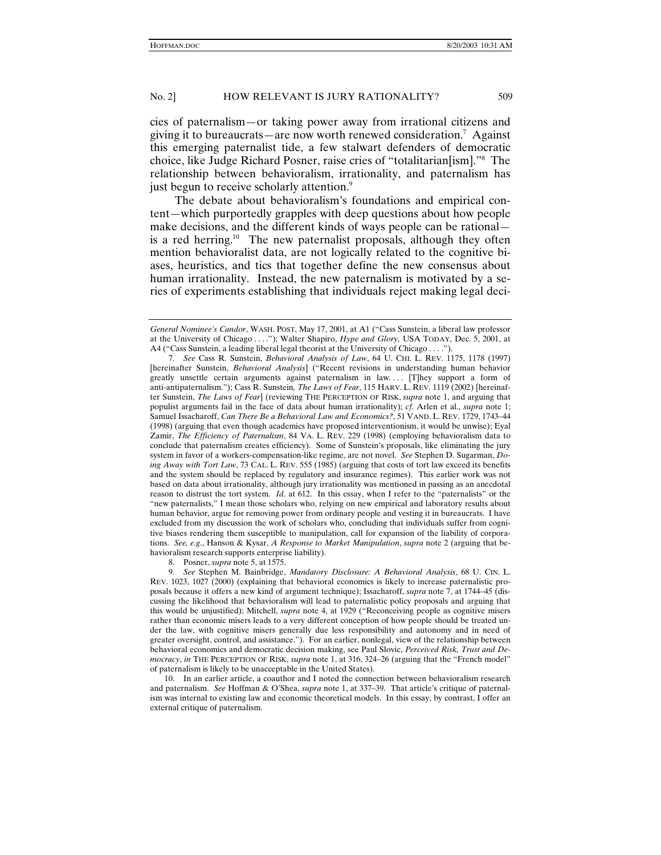cies of paternalism—or taking power away from irrational citizens and giving it to bureaucrats—are now worth renewed consideration.7 Against this emerging paternalist tide, a few stalwart defenders of democratic choice, like Judge Richard Posner, raise cries of "totalitarian[ism]."8 The relationship between behavioralism, irrationality, and paternalism has just begun to receive scholarly attention.<sup>9</sup>

The debate about behavioralism's foundations and empirical content—which purportedly grapples with deep questions about how people make decisions, and the different kinds of ways people can be rational is a red herring.<sup>10</sup> The new paternalist proposals, although they often mention behavioralist data, are not logically related to the cognitive biases, heuristics, and tics that together define the new consensus about human irrationality. Instead, the new paternalism is motivated by a series of experiments establishing that individuals reject making legal deci-

8. Posner, *supra* note 5, at 1575.

 10. In an earlier article, a coauthor and I noted the connection between behavioralism research and paternalism. *See* Hoffman & O'Shea, *supra* note 1, at 337–39. That article's critique of paternalism was internal to existing law and economic theoretical models. In this essay, by contrast, I offer an external critique of paternalism.

*General Nominee's Candor*, WASH. POST, May 17, 2001, at A1 ("Cass Sunstein, a liberal law professor at the University of Chicago . . . ."); Walter Shapiro, *Hype and Glory,* USA TODAY, Dec. 5, 2001, at A4 ("Cass Sunstein, a leading liberal legal theorist at the University of Chicago . . . .").

<sup>7</sup>*. See* Cass R. Sunstein, *Behavioral Analysis of Law*, 64 U. CHI. L. REV. 1175, 1178 (1997) [hereinafter Sunstein, *Behavioral Analysis*] ("Recent revisions in understanding human behavior greatly unsettle certain arguments against paternalism in law. . . . [T]hey support a form of anti-antipaternalism."); Cass R. Sunstein*, The Laws of Fear*, 115 HARV. L. REV. 1119 (2002) [hereinafter Sunstein, *The Laws of Fear*] (reviewing THE PERCEPTION OF RISK, *supra* note 1, and arguing that populist arguments fail in the face of data about human irrationality); *cf*. Arlen et al., *supra* note 1; Samuel Issacharoff, *Can There Be a Behavioral Law and Economics?*, 51 VAND. L. REV. 1729, 1743–44 (1998) (arguing that even though academics have proposed interventionism, it would be unwise); Eyal Zamir, *The Efficiency of Paternalism*, 84 VA. L. REV. 229 (1998) (employing behavioralism data to conclude that paternalism creates efficiency). Some of Sunstein's proposals, like eliminating the jury system in favor of a workers-compensation-like regime, are not novel. *See* Stephen D. Sugarman, *Doing Away with Tort Law*, 73 CAL. L. REV. 555 (1985) (arguing that costs of tort law exceed its benefits and the system should be replaced by regulatory and insurance regimes). This earlier work was not based on data about irrationality, although jury irrationality was mentioned in passing as an anecdotal reason to distrust the tort system. *Id*. at 612. In this essay, when I refer to the "paternalists" or the "new paternalists," I mean those scholars who, relying on new empirical and laboratory results about human behavior, argue for removing power from ordinary people and vesting it in bureaucrats. I have excluded from my discussion the work of scholars who, concluding that individuals suffer from cognitive biases rendering them susceptible to manipulation, call for expansion of the liability of corporations. *See, e.g*., Hanson & Kysar, *A Response to Market Manipulation*, *supra* note 2 (arguing that behavioralism research supports enterprise liability).

<sup>9</sup>*. See* Stephen M. Bainbridge, *Mandatory Disclosure: A Behavioral Analysis*, 68 U. CIN. L. REV. 1023, 1027 (2000) (explaining that behavioral economics is likely to increase paternalistic proposals because it offers a new kind of argument technique); Issacharoff, *supra* note 7, at 1744–45 (discussing the likelihood that behavioralism will lead to paternalistic policy proposals and arguing that this would be unjustified); Mitchell, *supra* note 4, at 1929 ("Reconceiving people as cognitive misers rather than economic misers leads to a very different conception of how people should be treated under the law, with cognitive misers generally due less responsibility and autonomy and in need of greater oversight, control, and assistance."). For an earlier, nonlegal, view of the relationship between behavioral economics and democratic decision making, see Paul Slovic, *Perceived Risk, Trust and Democracy*, *in* THE PERCEPTION OF RISK, *supra* note 1, at 316, 324–26 (arguing that the "French model" of paternalism is likely to be unacceptable in the United States).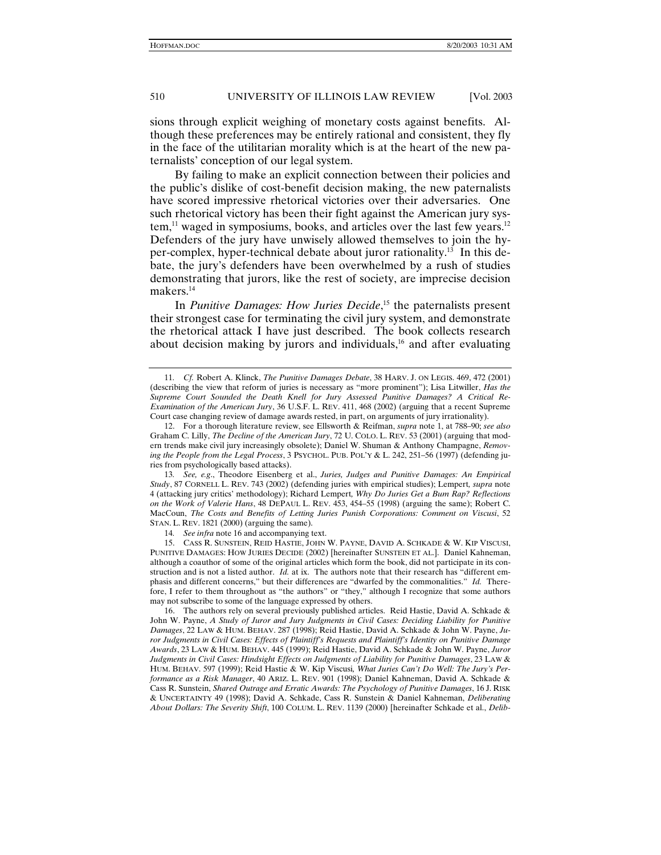sions through explicit weighing of monetary costs against benefits. Although these preferences may be entirely rational and consistent, they fly in the face of the utilitarian morality which is at the heart of the new paternalists' conception of our legal system.

By failing to make an explicit connection between their policies and the public's dislike of cost-benefit decision making, the new paternalists have scored impressive rhetorical victories over their adversaries. One such rhetorical victory has been their fight against the American jury system,<sup>11</sup> waged in symposiums, books, and articles over the last few years.<sup>12</sup> Defenders of the jury have unwisely allowed themselves to join the hyper-complex, hyper-technical debate about juror rationality.13 In this debate, the jury's defenders have been overwhelmed by a rush of studies demonstrating that jurors, like the rest of society, are imprecise decision makers.<sup>14</sup>

In *Punitive Damages: How Juries Decide*, 15 the paternalists present their strongest case for terminating the civil jury system, and demonstrate the rhetorical attack I have just described. The book collects research about decision making by jurors and individuals,<sup>16</sup> and after evaluating

<sup>11</sup>*. Cf.* Robert A. Klinck, *The Punitive Damages Debate*, 38 HARV. J. ON LEGIS. 469, 472 (2001) (describing the view that reform of juries is necessary as "more prominent"); Lisa Litwiller, *Has the Supreme Court Sounded the Death Knell for Jury Assessed Punitive Damages? A Critical Re-Examination of the American Jury*, 36 U.S.F. L. REV. 411, 468 (2002) (arguing that a recent Supreme Court case changing review of damage awards rested, in part, on arguments of jury irrationality).

 <sup>12.</sup> For a thorough literature review, see Ellsworth & Reifman, *supra* note 1, at 788–90; *see also* Graham C. Lilly, *The Decline of the American Jury*, 72 U. COLO. L. REV. 53 (2001) (arguing that modern trends make civil jury increasingly obsolete); Daniel W. Shuman & Anthony Champagne, *Removing the People from the Legal Process*, 3 PSYCHOL. PUB. POL'Y & L. 242, 251–56 (1997) (defending juries from psychologically based attacks).

<sup>13</sup>*. See, e.g*., Theodore Eisenberg et al., *Juries, Judges and Punitive Damages: An Empirical Study*, 87 CORNELL L. REV. 743 (2002) (defending juries with empirical studies); Lempert*, supra* note 4 (attacking jury critics' methodology); Richard Lempert*, Why Do Juries Get a Bum Rap? Reflections on the Work of Valerie Hans*, 48 DEPAUL L. REV. 453, 454–55 (1998) (arguing the same); Robert C. MacCoun, *The Costs and Benefits of Letting Juries Punish Corporations: Comment on Viscusi*, 52 STAN. L. REV. 1821 (2000) (arguing the same).

<sup>14</sup>*. See infra* note 16 and accompanying text.

 <sup>15.</sup> CASS R. SUNSTEIN, REID HASTIE, JOHN W. PAYNE, DAVID A. SCHKADE & W. KIP VISCUSI, PUNITIVE DAMAGES: HOW JURIES DECIDE (2002) [hereinafter SUNSTEIN ET AL.]. Daniel Kahneman, although a coauthor of some of the original articles which form the book, did not participate in its construction and is not a listed author. *Id.* at ix. The authors note that their research has "different emphasis and different concerns," but their differences are "dwarfed by the commonalities." *Id.* Therefore, I refer to them throughout as "the authors" or "they," although I recognize that some authors may not subscribe to some of the language expressed by others.

 <sup>16.</sup> The authors rely on several previously published articles. Reid Hastie, David A. Schkade & John W. Payne, *A Study of Juror and Jury Judgments in Civil Cases: Deciding Liability for Punitive Damages*, 22 LAW & HUM. BEHAV. 287 (1998); Reid Hastie, David A. Schkade & John W. Payne, *Juror Judgments in Civil Cases: Effects of Plaintiff's Requests and Plaintiff's Identity on Punitive Damage Awards*, 23 LAW & HUM. BEHAV. 445 (1999); Reid Hastie, David A. Schkade & John W. Payne, *Juror Judgments in Civil Cases: Hindsight Effects on Judgments of Liability for Punitive Damages*, 23 LAW & HUM. BEHAV. 597 (1999); Reid Hastie & W. Kip Viscusi*, What Juries Can't Do Well: The Jury's Performance as a Risk Manager*, 40 ARIZ. L. REV. 901 (1998); Daniel Kahneman, David A. Schkade & Cass R. Sunstein, *Shared Outrage and Erratic Awards: The Psychology of Punitive Damages*, 16 J. RISK & UNCERTAINTY 49 (1998); David A. Schkade, Cass R. Sunstein & Daniel Kahneman, *Deliberating About Dollars: The Severity Shift*, 100 COLUM. L. REV. 1139 (2000) [hereinafter Schkade et al., *Delib-*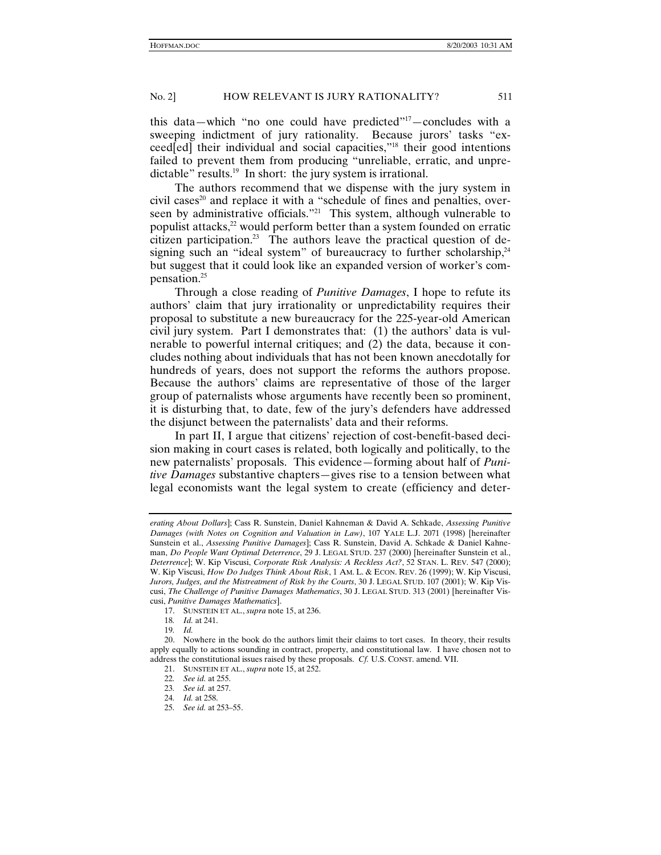this data—which "no one could have predicted"17—concludes with a sweeping indictment of jury rationality. Because jurors' tasks "exceed[ed] their individual and social capacities,"18 their good intentions failed to prevent them from producing "unreliable, erratic, and unpredictable" results.<sup>19</sup> In short: the jury system is irrational.

The authors recommend that we dispense with the jury system in civil cases<sup>20</sup> and replace it with a "schedule of fines and penalties, overseen by administrative officials."<sup>21</sup> This system, although vulnerable to populist attacks,<sup>22</sup> would perform better than a system founded on erratic citizen participation.<sup>23</sup> The authors leave the practical question of designing such an "ideal system" of bureaucracy to further scholarship, $24$ but suggest that it could look like an expanded version of worker's compensation.25

Through a close reading of *Punitive Damages*, I hope to refute its authors' claim that jury irrationality or unpredictability requires their proposal to substitute a new bureaucracy for the 225-year-old American civil jury system. Part I demonstrates that: (1) the authors' data is vulnerable to powerful internal critiques; and (2) the data, because it concludes nothing about individuals that has not been known anecdotally for hundreds of years, does not support the reforms the authors propose. Because the authors' claims are representative of those of the larger group of paternalists whose arguments have recently been so prominent, it is disturbing that, to date, few of the jury's defenders have addressed the disjunct between the paternalists' data and their reforms.

In part II, I argue that citizens' rejection of cost-benefit-based decision making in court cases is related, both logically and politically, to the new paternalists' proposals. This evidence—forming about half of *Punitive Damages* substantive chapters—gives rise to a tension between what legal economists want the legal system to create (efficiency and deter-

*erating About Dollars*]; Cass R. Sunstein, Daniel Kahneman & David A. Schkade, *Assessing Punitive Damages (with Notes on Cognition and Valuation in Law)*, 107 YALE L.J. 2071 (1998) [hereinafter Sunstein et al., *Assessing Punitive Damages*]; Cass R. Sunstein, David A. Schkade & Daniel Kahneman, *Do People Want Optimal Deterrence*, 29 J. LEGAL STUD. 237 (2000) [hereinafter Sunstein et al., *Deterrence*]; W. Kip Viscusi, *Corporate Risk Analysis: A Reckless Act?*, 52 STAN. L. REV. 547 (2000); W. Kip Viscusi, *How Do Judges Think About Risk*, 1 AM. L. & ECON. REV. 26 (1999); W. Kip Viscusi, *Jurors, Judges, and the Mistreatment of Risk by the Courts*, 30 J. LEGAL STUD. 107 (2001); W. Kip Viscusi, *The Challenge of Punitive Damages Mathematics*, 30 J. LEGAL STUD. 313 (2001) [hereinafter Viscusi, *Punitive Damages Mathematics*].

 <sup>17.</sup> SUNSTEIN ET AL., *supra* note 15, at 236.

<sup>18</sup>*. Id.* at 241.

<sup>19</sup>*. Id.*

 <sup>20.</sup> Nowhere in the book do the authors limit their claims to tort cases. In theory, their results apply equally to actions sounding in contract, property, and constitutional law. I have chosen not to address the constitutional issues raised by these proposals. *Cf.* U.S. CONST. amend. VII.

 <sup>21.</sup> SUNSTEIN ET AL., *supra* note 15, at 252.

<sup>22</sup>*. See id.* at 255.

<sup>23</sup>*. See id.* at 257.

<sup>24</sup>*. Id.* at 258.

<sup>25</sup>*. See id.* at 253–55.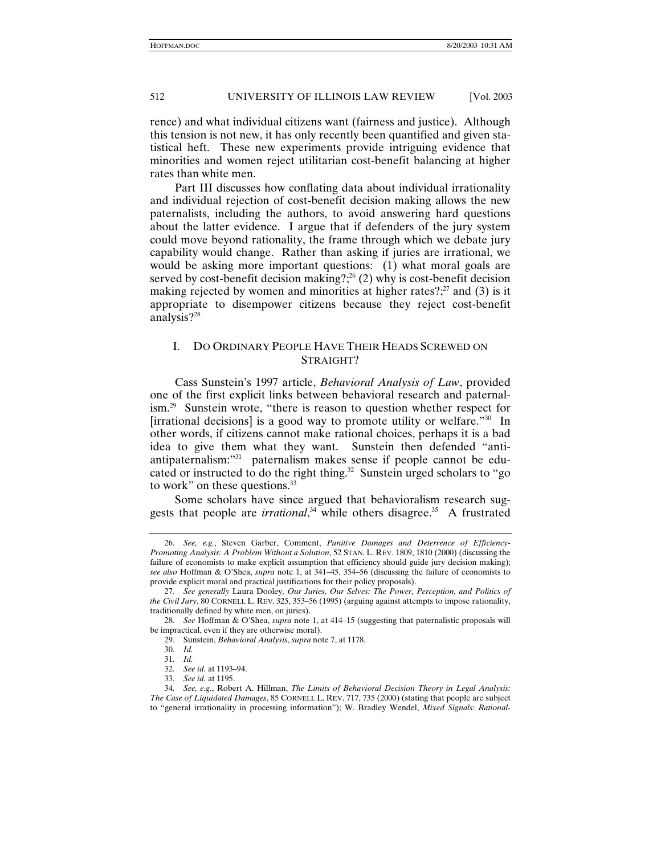rence) and what individual citizens want (fairness and justice). Although this tension is not new, it has only recently been quantified and given statistical heft. These new experiments provide intriguing evidence that minorities and women reject utilitarian cost-benefit balancing at higher rates than white men.

Part III discusses how conflating data about individual irrationality and individual rejection of cost-benefit decision making allows the new paternalists, including the authors, to avoid answering hard questions about the latter evidence. I argue that if defenders of the jury system could move beyond rationality, the frame through which we debate jury capability would change. Rather than asking if juries are irrational, we would be asking more important questions: (1) what moral goals are served by cost-benefit decision making?;<sup>26</sup> (2) why is cost-benefit decision making rejected by women and minorities at higher rates?; $2^7$  and (3) is it appropriate to disempower citizens because they reject cost-benefit analysis?28

# I. DO ORDINARY PEOPLE HAVE THEIR HEADS SCREWED ON STRAIGHT?

Cass Sunstein's 1997 article, *Behavioral Analysis of Law*, provided one of the first explicit links between behavioral research and paternalism.<sup>29</sup> Sunstein wrote, "there is reason to question whether respect for [irrational decisions] is a good way to promote utility or welfare."30 In other words, if citizens cannot make rational choices, perhaps it is a bad idea to give them what they want. Sunstein then defended "antiantipaternalism:"31 paternalism makes sense if people cannot be educated or instructed to do the right thing.<sup>32</sup> Sunstein urged scholars to "go to work" on these questions.<sup>33</sup>

Some scholars have since argued that behavioralism research suggests that people are *irrational*,<sup>34</sup> while others disagree.<sup>35</sup> A frustrated

<sup>26</sup>*. See, e.g.*, Steven Garber, Comment, *Punitive Damages and Deterrence of Efficiency-Promoting Analysis: A Problem Without a Solution*, 52 STAN. L. REV. 1809, 1810 (2000) (discussing the failure of economists to make explicit assumption that efficiency should guide jury decision making); *see also* Hoffman & O'Shea, *supra* note 1, at 341–45, 354–56 (discussing the failure of economists to provide explicit moral and practical justifications for their policy proposals).

<sup>27</sup>*. See generally* Laura Dooley*, Our Juries, Our Selves: The Power, Perception, and Politics of the Civil Jury*, 80 CORNELL L. REV. 325, 353–56 (1995) (arguing against attempts to impose rationality, traditionally defined by white men, on juries).

<sup>28</sup>*. See* Hoffman & O'Shea, *supra* note 1, at 414–15 (suggesting that paternalistic proposals will be impractical, even if they are otherwise moral).

 <sup>29.</sup> Sunstein, *Behavioral Analysis*, *supra* note 7, at 1178.

<sup>30</sup>*. Id.*

<sup>31</sup>*. Id.*

<sup>32</sup>*. See id.* at 1193–94.

<sup>33</sup>*. See id.* at 1195.

<sup>34</sup>*. See, e.g.*, Robert A. Hillman, *The Limits of Behavioral Decision Theory in Legal Analysis: The Case of Liquidated Damages*, 85 CORNELL L. REV. 717, 735 (2000) (stating that people are subject to "general irrationality in processing information"); W. Bradley Wendel, *Mixed Signals: Rational-*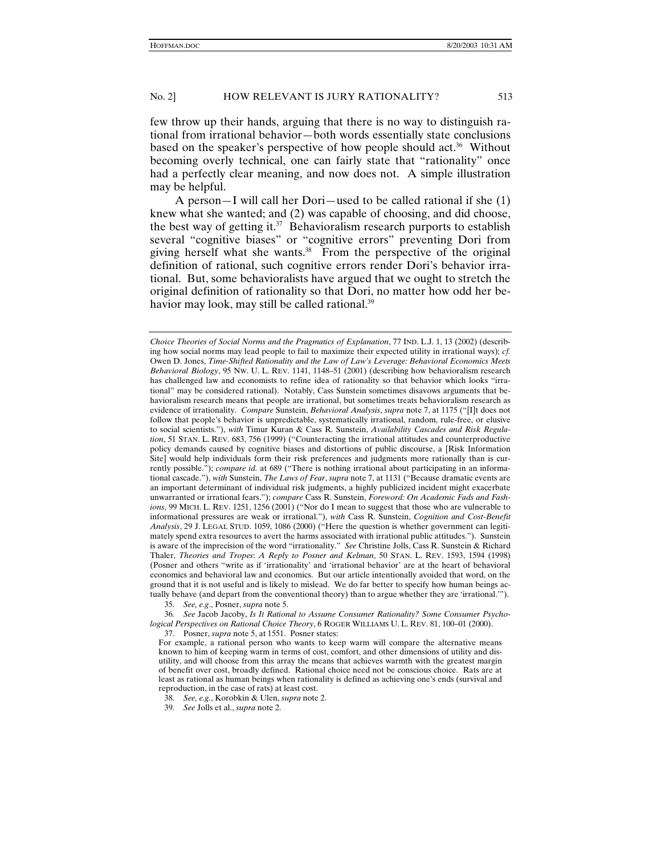few throw up their hands, arguing that there is no way to distinguish rational from irrational behavior—both words essentially state conclusions based on the speaker's perspective of how people should act.<sup>36</sup> Without becoming overly technical, one can fairly state that "rationality" once had a perfectly clear meaning, and now does not. A simple illustration may be helpful.

A person—I will call her Dori—used to be called rational if she (1) knew what she wanted; and (2) was capable of choosing, and did choose, the best way of getting it. $37$  Behavioralism research purports to establish several "cognitive biases" or "cognitive errors" preventing Dori from giving herself what she wants.38 From the perspective of the original definition of rational, such cognitive errors render Dori's behavior irrational. But, some behavioralists have argued that we ought to stretch the original definition of rationality so that Dori, no matter how odd her behavior may look, may still be called rational.<sup>39</sup>

*Choice Theories of Social Norms and the Pragmatics of Explanation*, 77 IND. L.J. 1, 13 (2002) (describing how social norms may lead people to fail to maximize their expected utility in irrational ways); *cf.*  Owen D. Jones, *Time-Shifted Rationality and the Law of Law's Leverage: Behavioral Economics Meets Behavioral Biology*, 95 NW. U. L. REV. 1141, 1148–51 (2001) (describing how behavioralism research has challenged law and economists to refine idea of rationality so that behavior which looks "irrational" may be considered rational). Notably, Cass Sunstein sometimes disavows arguments that behavioralism research means that people are irrational, but sometimes treats behavioralism research as evidence of irrationality. *Compare* Sunstein, *Behavioral Analysis*, *supra* note 7, at 1175 ("[I]t does not follow that people's behavior is unpredictable, systematically irrational, random, rule-free, or elusive to social scientists."), *with* Timur Kuran & Cass R. Sunstein, *Availability Cascades and Risk Regulation*, 51 STAN. L. REV. 683, 756 (1999) ("Counteracting the irrational attitudes and counterproductive policy demands caused by cognitive biases and distortions of public discourse, a [Risk Information Site] would help individuals form their risk preferences and judgments more rationally than is currently possible."); *compare id.* at 689 ("There is nothing irrational about participating in an informational cascade."), *with* Sunstein, *The Laws of Fear*, *supra* note 7, at 1131 ("Because dramatic events are an important determinant of individual risk judgments, a highly publicized incident might exacerbate unwarranted or irrational fears."); *compare* Cass R. Sunstein, *Foreword: On Academic Fads and Fashions*, 99 MICH. L. REV. 1251, 1256 (2001) ("Nor do I mean to suggest that those who are vulnerable to informational pressures are weak or irrational."), *with* Cass R. Sunstein, *Cognition and Cost-Benefit Analysis*, 29 J. LEGAL STUD. 1059, 1086 (2000) ("Here the question is whether government can legitimately spend extra resources to avert the harms associated with irrational public attitudes."). Sunstein is aware of the imprecision of the word "irrationality." *See* Christine Jolls, Cass R. Sunstein & Richard Thaler, *Theories and Tropes*: *A Reply to Posner and Kelman*, 50 STAN. L. REV. 1593, 1594 (1998) (Posner and others "write as if 'irrationality' and 'irrational behavior' are at the heart of behavioral economics and behavioral law and economics. But our article intentionally avoided that word, on the ground that it is not useful and is likely to mislead. We do far better to specify how human beings actually behave (and depart from the conventional theory) than to argue whether they are 'irrational.'").

<sup>35</sup>*. See, e.g*., Posner, *supra* note 5.

<sup>36</sup>*. See* Jacob Jacoby, *Is It Rational to Assume Consumer Rationality? Some Consumer Psychological Perspectives on Rational Choice Theory*, 6 ROGER WILLIAMS U. L. REV. 81, 100–01 (2000).

 <sup>37.</sup> Posner, *supra* note 5, at 1551. Posner states:

For example, a rational person who wants to keep warm will compare the alternative means known to him of keeping warm in terms of cost, comfort, and other dimensions of utility and disutility, and will choose from this array the means that achieves warmth with the greatest margin of benefit over cost, broadly defined. Rational choice need not be conscious choice. Rats are at least as rational as human beings when rationality is defined as achieving one's ends (survival and reproduction, in the case of rats) at least cost.

<sup>38</sup>*. See, e.g.*, Korobkin & Ulen, *supra* note 2.

<sup>39</sup>*. See* Jolls et al., *supra* note 2.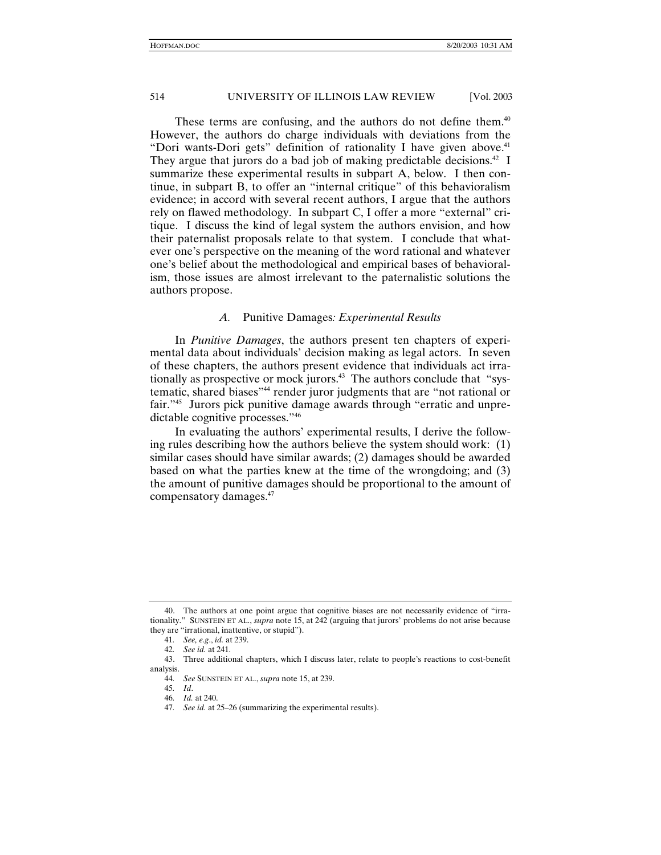These terms are confusing, and the authors do not define them.<sup>40</sup> However, the authors do charge individuals with deviations from the "Dori wants-Dori gets" definition of rationality I have given above.<sup>41</sup> They argue that jurors do a bad job of making predictable decisions.<sup>42</sup> I summarize these experimental results in subpart A, below. I then continue, in subpart B, to offer an "internal critique" of this behavioralism evidence; in accord with several recent authors, I argue that the authors rely on flawed methodology. In subpart C, I offer a more "external" critique. I discuss the kind of legal system the authors envision, and how their paternalist proposals relate to that system. I conclude that whatever one's perspective on the meaning of the word rational and whatever one's belief about the methodological and empirical bases of behavioralism, those issues are almost irrelevant to the paternalistic solutions the authors propose.

#### *A.* Punitive Damages*: Experimental Results*

In *Punitive Damages*, the authors present ten chapters of experimental data about individuals' decision making as legal actors. In seven of these chapters, the authors present evidence that individuals act irrationally as prospective or mock jurors.<sup>43</sup> The authors conclude that "systematic, shared biases"44 render juror judgments that are "not rational or fair."45 Jurors pick punitive damage awards through "erratic and unpredictable cognitive processes."46

In evaluating the authors' experimental results, I derive the following rules describing how the authors believe the system should work: (1) similar cases should have similar awards; (2) damages should be awarded based on what the parties knew at the time of the wrongdoing; and (3) the amount of punitive damages should be proportional to the amount of compensatory damages.47

 <sup>40.</sup> The authors at one point argue that cognitive biases are not necessarily evidence of "irrationality." SUNSTEIN ET AL., *supra* note 15, at 242 (arguing that jurors' problems do not arise because they are "irrational, inattentive, or stupid").

<sup>41</sup>*. See, e.g*., *id.* at 239.

<sup>42</sup>*. See id.* at 241.

 <sup>43.</sup> Three additional chapters, which I discuss later, relate to people's reactions to cost-benefit analysis.

<sup>44</sup>*. See* SUNSTEIN ET AL., *supra* note 15, at 239.

<sup>45</sup>*. Id*. 46*. Id.* at 240.

<sup>47</sup>*. See id.* at 25–26 (summarizing the experimental results).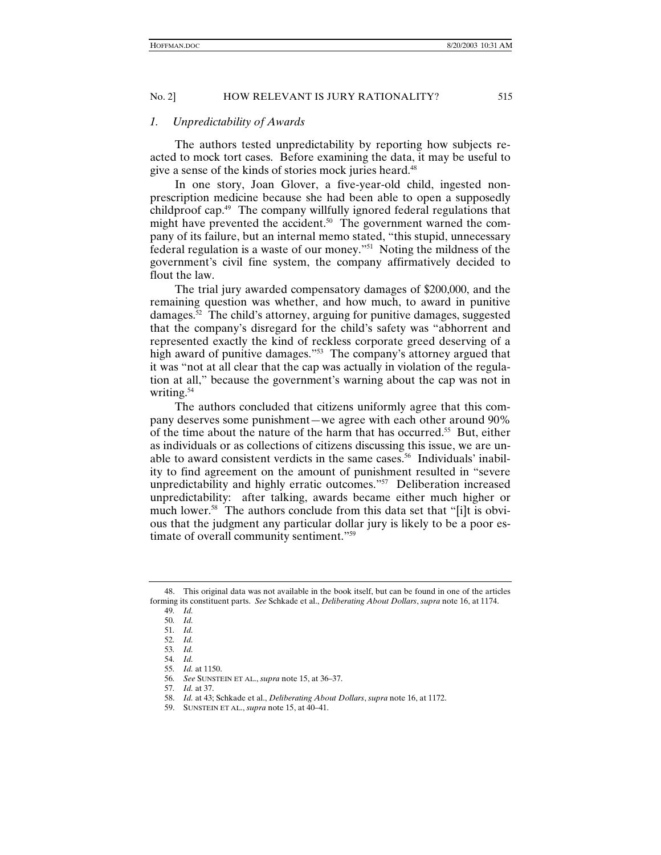#### *1. Unpredictability of Awards*

The authors tested unpredictability by reporting how subjects reacted to mock tort cases. Before examining the data, it may be useful to give a sense of the kinds of stories mock juries heard.<sup>48</sup>

In one story, Joan Glover, a five-year-old child, ingested nonprescription medicine because she had been able to open a supposedly childproof cap.49 The company willfully ignored federal regulations that might have prevented the accident.<sup>50</sup> The government warned the company of its failure, but an internal memo stated, "this stupid, unnecessary federal regulation is a waste of our money."51 Noting the mildness of the government's civil fine system, the company affirmatively decided to flout the law.

The trial jury awarded compensatory damages of \$200,000, and the remaining question was whether, and how much, to award in punitive damages. $52$  The child's attorney, arguing for punitive damages, suggested that the company's disregard for the child's safety was "abhorrent and represented exactly the kind of reckless corporate greed deserving of a high award of punitive damages."<sup>53</sup> The company's attorney argued that it was "not at all clear that the cap was actually in violation of the regulation at all," because the government's warning about the cap was not in writing.<sup>54</sup>

The authors concluded that citizens uniformly agree that this company deserves some punishment—we agree with each other around 90% of the time about the nature of the harm that has occurred.55 But, either as individuals or as collections of citizens discussing this issue, we are unable to award consistent verdicts in the same cases.<sup>56</sup> Individuals' inability to find agreement on the amount of punishment resulted in "severe unpredictability and highly erratic outcomes."57 Deliberation increased unpredictability: after talking, awards became either much higher or much lower.<sup>58</sup> The authors conclude from this data set that "[i]t is obvious that the judgment any particular dollar jury is likely to be a poor estimate of overall community sentiment."59

 <sup>48.</sup> This original data was not available in the book itself, but can be found in one of the articles forming its constituent parts. *See* Schkade et al., *Deliberating About Dollars*, *supra* note 16, at 1174.

<sup>49</sup>*. Id.* 50*. Id.*

<sup>51</sup>*. Id.*

<sup>52</sup>*. Id.*

<sup>53</sup>*. Id.*

<sup>54</sup>*. Id.*

<sup>55</sup>*. Id.* at 1150.

<sup>56</sup>*. See* SUNSTEIN ET AL., *supra* note 15, at 36–37.

<sup>57</sup>*. Id.* at 37.

 <sup>58.</sup> *Id.* at 43; Schkade et al., *Deliberating About Dollars*, *supra* note 16, at 1172.

 <sup>59.</sup> SUNSTEIN ET AL., *supra* note 15, at 40–41.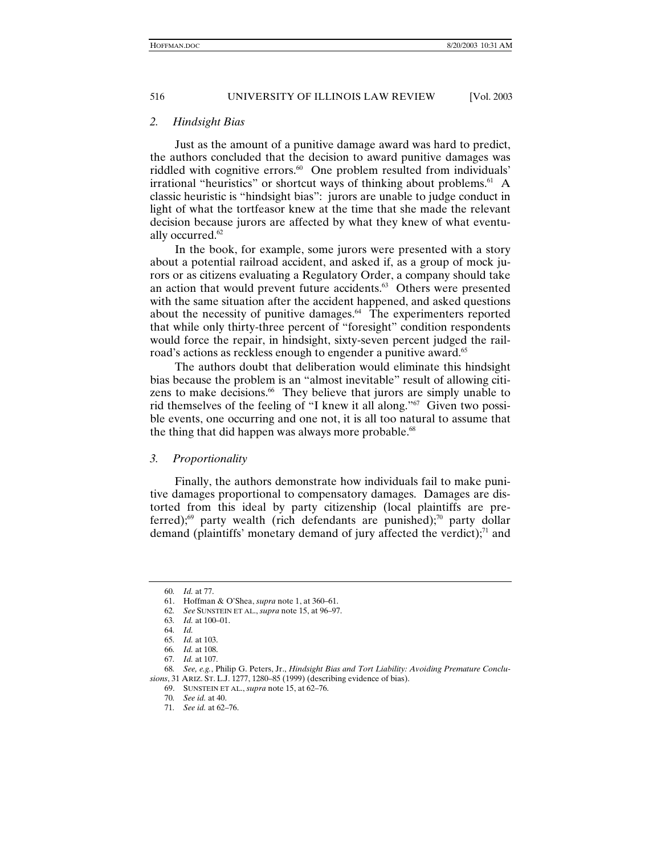#### *2. Hindsight Bias*

Just as the amount of a punitive damage award was hard to predict, the authors concluded that the decision to award punitive damages was riddled with cognitive errors.<sup>60</sup> One problem resulted from individuals' irrational "heuristics" or shortcut ways of thinking about problems. $61$  A classic heuristic is "hindsight bias": jurors are unable to judge conduct in light of what the tortfeasor knew at the time that she made the relevant decision because jurors are affected by what they knew of what eventually occurred.<sup>62</sup>

In the book, for example, some jurors were presented with a story about a potential railroad accident, and asked if, as a group of mock jurors or as citizens evaluating a Regulatory Order, a company should take an action that would prevent future accidents.<sup>63</sup> Others were presented with the same situation after the accident happened, and asked questions about the necessity of punitive damages.<sup>64</sup> The experimenters reported that while only thirty-three percent of "foresight" condition respondents would force the repair, in hindsight, sixty-seven percent judged the railroad's actions as reckless enough to engender a punitive award.<sup>65</sup>

The authors doubt that deliberation would eliminate this hindsight bias because the problem is an "almost inevitable" result of allowing citizens to make decisions.<sup>66</sup> They believe that jurors are simply unable to rid themselves of the feeling of "I knew it all along."67 Given two possible events, one occurring and one not, it is all too natural to assume that the thing that did happen was always more probable.<sup>68</sup>

#### *3. Proportionality*

Finally, the authors demonstrate how individuals fail to make punitive damages proportional to compensatory damages. Damages are distorted from this ideal by party citizenship (local plaintiffs are preferred);<sup>69</sup> party wealth (rich defendants are punished);<sup>70</sup> party dollar demand (plaintiffs' monetary demand of jury affected the verdict); $\frac{7}{1}$  and

<sup>60</sup>*. Id.* at 77.

 <sup>61.</sup> Hoffman & O'Shea, *supra* note 1, at 360–61.

<sup>62</sup>*. See* SUNSTEIN ET AL., *supra* note 15, at 96–97.

<sup>63</sup>*. Id.* at 100–01.

<sup>64</sup>*. Id.*

<sup>65</sup>*. Id.* at 103.

<sup>66</sup>*. Id.* at 108.

<sup>67</sup>*. Id.* at 107.

<sup>68</sup>*. See, e.g.*, Philip G. Peters, Jr., *Hindsight Bias and Tort Liability: Avoiding Premature Conclusions*, 31 ARIZ. ST. L.J. 1277, 1280–85 (1999) (describing evidence of bias).

 <sup>69.</sup> SUNSTEIN ET AL., *supra* note 15, at 62–76.

<sup>70</sup>*. See id.* at 40.

<sup>71</sup>*. See id.* at 62–76.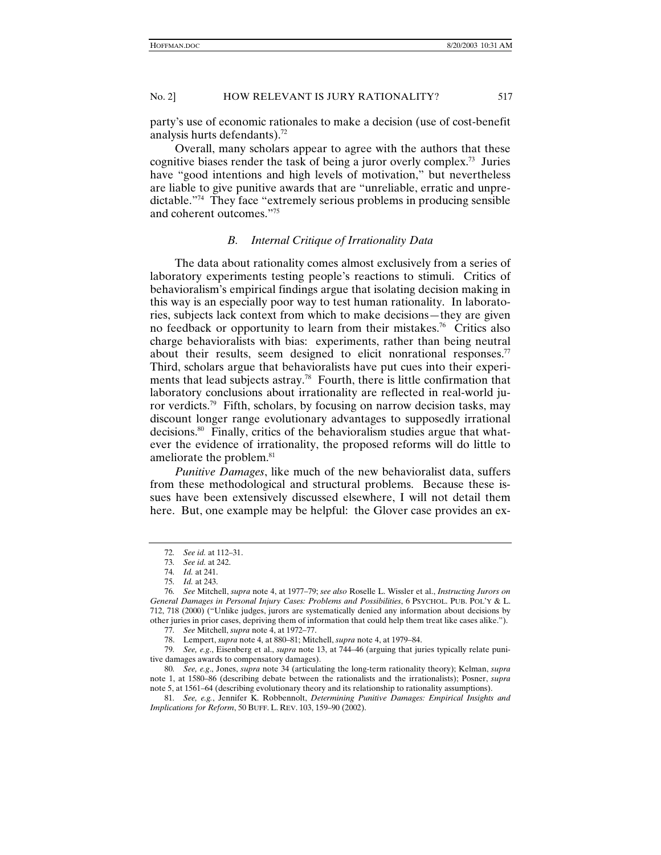party's use of economic rationales to make a decision (use of cost-benefit analysis hurts defendants).72

Overall, many scholars appear to agree with the authors that these cognitive biases render the task of being a juror overly complex.73 Juries have "good intentions and high levels of motivation," but nevertheless are liable to give punitive awards that are "unreliable, erratic and unpredictable."74 They face "extremely serious problems in producing sensible and coherent outcomes."75

#### *B. Internal Critique of Irrationality Data*

The data about rationality comes almost exclusively from a series of laboratory experiments testing people's reactions to stimuli. Critics of behavioralism's empirical findings argue that isolating decision making in this way is an especially poor way to test human rationality. In laboratories, subjects lack context from which to make decisions—they are given no feedback or opportunity to learn from their mistakes.<sup>76</sup> Critics also charge behavioralists with bias: experiments, rather than being neutral about their results, seem designed to elicit nonrational responses.<sup>77</sup> Third, scholars argue that behavioralists have put cues into their experiments that lead subjects astray.<sup>78</sup> Fourth, there is little confirmation that laboratory conclusions about irrationality are reflected in real-world juror verdicts.<sup>79</sup> Fifth, scholars, by focusing on narrow decision tasks, may discount longer range evolutionary advantages to supposedly irrational decisions.<sup>80</sup> Finally, critics of the behavioralism studies argue that whatever the evidence of irrationality, the proposed reforms will do little to ameliorate the problem.<sup>81</sup>

*Punitive Damages*, like much of the new behavioralist data, suffers from these methodological and structural problems. Because these issues have been extensively discussed elsewhere, I will not detail them here. But, one example may be helpful: the Glover case provides an ex-

79*. See, e.g*., Eisenberg et al., *supra* note 13, at 744–46 (arguing that juries typically relate punitive damages awards to compensatory damages).

80*. See, e.g*., Jones, *supra* note 34 (articulating the long-term rationality theory); Kelman, *supra* note 1, at 1580–86 (describing debate between the rationalists and the irrationalists); Posner, *supra* note 5, at 1561–64 (describing evolutionary theory and its relationship to rationality assumptions).

81*. See, e.g.*, Jennifer K. Robbennolt, *Determining Punitive Damages: Empirical Insights and Implications for Reform*, 50 BUFF. L. REV. 103, 159–90 (2002).

<sup>72</sup>*. See id.* at 112–31.

<sup>73</sup>*. See id.* at 242.

<sup>74</sup>*. Id.* at 241.

<sup>75</sup>*. Id.* at 243.

<sup>76</sup>*. See* Mitchell, *supra* note 4, at 1977–79; *see also* Roselle L. Wissler et al., *Instructing Jurors on General Damages in Personal Injury Cases: Problems and Possibilities*, 6 PSYCHOL. PUB. POL'Y & L. 712, 718 (2000) ("Unlike judges, jurors are systematically denied any information about decisions by other juries in prior cases, depriving them of information that could help them treat like cases alike.").

<sup>77</sup>*. See* Mitchell, *supra* note 4, at 1972–77.

 <sup>78.</sup> Lempert, *supra* note 4, at 880–81; Mitchell, *supra* note 4, at 1979–84.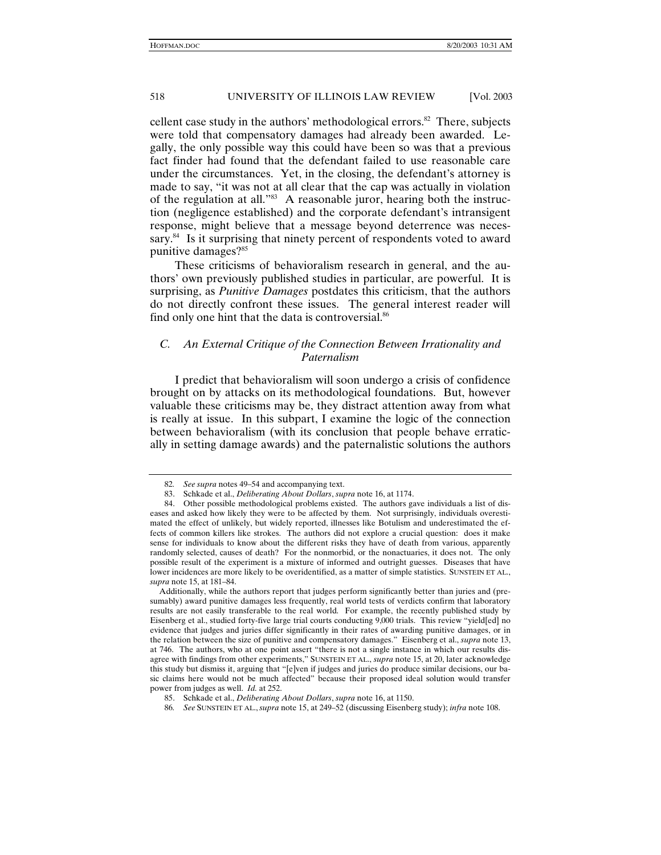cellent case study in the authors' methodological errors. $82$  There, subjects were told that compensatory damages had already been awarded. Legally, the only possible way this could have been so was that a previous fact finder had found that the defendant failed to use reasonable care under the circumstances. Yet, in the closing, the defendant's attorney is made to say, "it was not at all clear that the cap was actually in violation of the regulation at all."83 A reasonable juror, hearing both the instruction (negligence established) and the corporate defendant's intransigent response, might believe that a message beyond deterrence was necessary.<sup>84</sup> Is it surprising that ninety percent of respondents voted to award punitive damages?85

These criticisms of behavioralism research in general, and the authors' own previously published studies in particular, are powerful. It is surprising, as *Punitive Damages* postdates this criticism, that the authors do not directly confront these issues. The general interest reader will find only one hint that the data is controversial.<sup>86</sup>

### *C. An External Critique of the Connection Between Irrationality and Paternalism*

I predict that behavioralism will soon undergo a crisis of confidence brought on by attacks on its methodological foundations. But, however valuable these criticisms may be, they distract attention away from what is really at issue. In this subpart, I examine the logic of the connection between behavioralism (with its conclusion that people behave erratically in setting damage awards) and the paternalistic solutions the authors

<sup>82</sup>*. See supra* notes 49–54 and accompanying text.

 <sup>83.</sup> Schkade et al., *Deliberating About Dollars*, *supra* note 16, at 1174.

 <sup>84.</sup> Other possible methodological problems existed. The authors gave individuals a list of diseases and asked how likely they were to be affected by them. Not surprisingly, individuals overestimated the effect of unlikely, but widely reported, illnesses like Botulism and underestimated the effects of common killers like strokes. The authors did not explore a crucial question: does it make sense for individuals to know about the different risks they have of death from various, apparently randomly selected, causes of death? For the nonmorbid, or the nonactuaries, it does not. The only possible result of the experiment is a mixture of informed and outright guesses. Diseases that have lower incidences are more likely to be overidentified, as a matter of simple statistics. SUNSTEIN ET AL., *supra* note 15, at 181–84.

Additionally, while the authors report that judges perform significantly better than juries and (presumably) award punitive damages less frequently, real world tests of verdicts confirm that laboratory results are not easily transferable to the real world. For example, the recently published study by Eisenberg et al., studied forty-five large trial courts conducting 9,000 trials. This review "yield[ed] no evidence that judges and juries differ significantly in their rates of awarding punitive damages, or in the relation between the size of punitive and compensatory damages." Eisenberg et al., *supra* note 13, at 746. The authors, who at one point assert "there is not a single instance in which our results disagree with findings from other experiments," SUNSTEIN ET AL., *supra* note 15, at 20, later acknowledge this study but dismiss it, arguing that "[e]ven if judges and juries do produce similar decisions, our basic claims here would not be much affected" because their proposed ideal solution would transfer power from judges as well. *Id.* at 252.

 <sup>85.</sup> Schkade et al., *Deliberating About Dollars*, *supra* note 16, at 1150.

<sup>86</sup>*. See* SUNSTEIN ET AL.,*supra* note 15, at 249–52 (discussing Eisenberg study); *infra* note 108.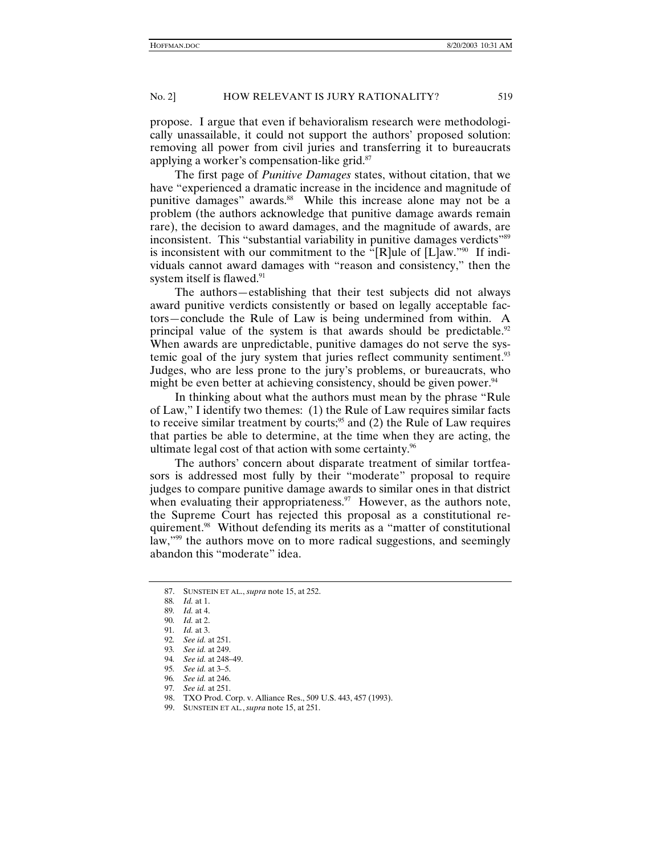propose. I argue that even if behavioralism research were methodologically unassailable, it could not support the authors' proposed solution: removing all power from civil juries and transferring it to bureaucrats applying a worker's compensation-like grid.87

The first page of *Punitive Damages* states, without citation, that we have "experienced a dramatic increase in the incidence and magnitude of punitive damages" awards.<sup>88</sup> While this increase alone may not be a problem (the authors acknowledge that punitive damage awards remain rare), the decision to award damages, and the magnitude of awards, are inconsistent. This "substantial variability in punitive damages verdicts"<sup>89</sup> is inconsistent with our commitment to the "[R]ule of [L]aw."90 If individuals cannot award damages with "reason and consistency," then the system itself is flawed.<sup>91</sup>

The authors—establishing that their test subjects did not always award punitive verdicts consistently or based on legally acceptable factors—conclude the Rule of Law is being undermined from within. A principal value of the system is that awards should be predictable. $92$ When awards are unpredictable, punitive damages do not serve the systemic goal of the jury system that juries reflect community sentiment.<sup>93</sup> Judges, who are less prone to the jury's problems, or bureaucrats, who might be even better at achieving consistency, should be given power.<sup>94</sup>

In thinking about what the authors must mean by the phrase "Rule of Law," I identify two themes: (1) the Rule of Law requires similar facts to receive similar treatment by courts;<sup>95</sup> and  $(2)$  the Rule of Law requires that parties be able to determine, at the time when they are acting, the ultimate legal cost of that action with some certainty.<sup>96</sup>

The authors' concern about disparate treatment of similar tortfeasors is addressed most fully by their "moderate" proposal to require judges to compare punitive damage awards to similar ones in that district when evaluating their appropriateness. $97$  However, as the authors note, the Supreme Court has rejected this proposal as a constitutional requirement.<sup>98</sup> Without defending its merits as a "matter of constitutional law,"<sup>99</sup> the authors move on to more radical suggestions, and seemingly abandon this "moderate" idea.

 <sup>87.</sup> SUNSTEIN ET AL., *supra* note 15, at 252.

<sup>88</sup>*. Id.* at 1.

<sup>89</sup>*. Id.* at 4.

<sup>90</sup>*. Id.* at 2.

<sup>91</sup>*. Id.* at 3.

<sup>92</sup>*. See id.* at 251.

<sup>93</sup>*. See id.* at 249.

<sup>94</sup>*. See id.* at 248–49.

<sup>95</sup>*. See id.* at 3–5.

<sup>96</sup>*. See id.* at 246.

<sup>97</sup>*. See id.* at 251.

 <sup>98.</sup> TXO Prod. Corp. v. Alliance Res., 509 U.S. 443, 457 (1993).

 <sup>99.</sup> SUNSTEIN ET AL*.*,*supra* note 15, at 251.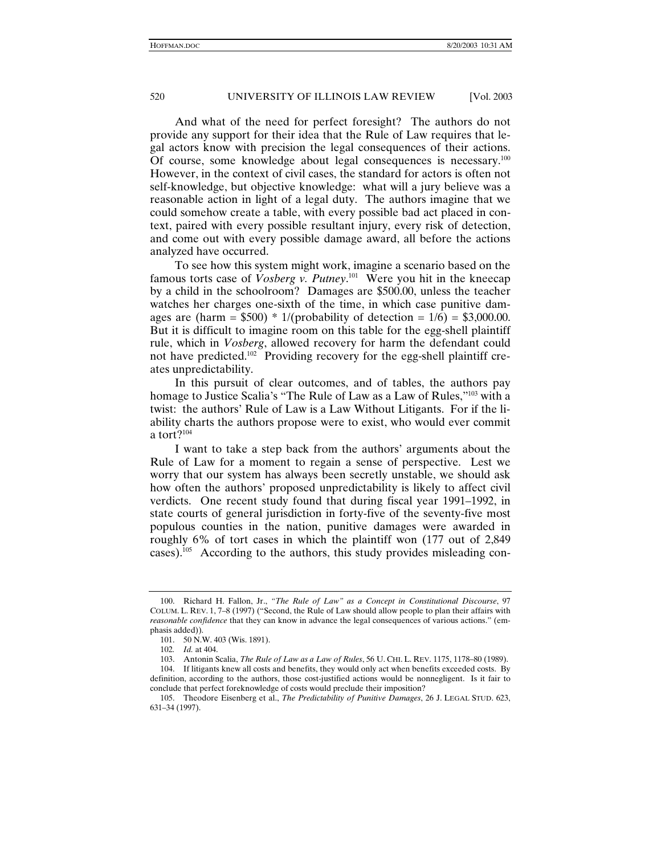And what of the need for perfect foresight? The authors do not provide any support for their idea that the Rule of Law requires that legal actors know with precision the legal consequences of their actions. Of course, some knowledge about legal consequences is necessary.<sup>100</sup> However, in the context of civil cases, the standard for actors is often not self-knowledge, but objective knowledge: what will a jury believe was a reasonable action in light of a legal duty. The authors imagine that we could somehow create a table, with every possible bad act placed in context, paired with every possible resultant injury, every risk of detection, and come out with every possible damage award, all before the actions analyzed have occurred.

To see how this system might work, imagine a scenario based on the famous torts case of *Vosberg v. Putney*. 101 Were you hit in the kneecap by a child in the schoolroom? Damages are \$500.00, unless the teacher watches her charges one-sixth of the time, in which case punitive damages are (harm =  $$500$ ) \* 1/(probability of detection = 1/6) =  $$3,000.00$ . But it is difficult to imagine room on this table for the egg-shell plaintiff rule, which in *Vosberg*, allowed recovery for harm the defendant could not have predicted.<sup>102</sup> Providing recovery for the egg-shell plaintiff creates unpredictability.

In this pursuit of clear outcomes, and of tables, the authors pay homage to Justice Scalia's "The Rule of Law as a Law of Rules,"<sup>103</sup> with a twist: the authors' Rule of Law is a Law Without Litigants. For if the liability charts the authors propose were to exist, who would ever commit a tort $?^{104}$ 

I want to take a step back from the authors' arguments about the Rule of Law for a moment to regain a sense of perspective. Lest we worry that our system has always been secretly unstable, we should ask how often the authors' proposed unpredictability is likely to affect civil verdicts. One recent study found that during fiscal year 1991–1992, in state courts of general jurisdiction in forty-five of the seventy-five most populous counties in the nation, punitive damages were awarded in roughly 6% of tort cases in which the plaintiff won (177 out of 2,849 cases).<sup>105</sup> According to the authors, this study provides misleading con-

 <sup>100.</sup> Richard H. Fallon, Jr., *"The Rule of Law" as a Concept in Constitutional Discourse*, 97 COLUM. L. REV. 1, 7–8 (1997) ("Second, the Rule of Law should allow people to plan their affairs with *reasonable confidence* that they can know in advance the legal consequences of various actions." (emphasis added)).

 <sup>101. 50</sup> N.W. 403 (Wis. 1891).

<sup>102</sup>*. Id.* at 404.

 <sup>103.</sup> Antonin Scalia, *The Rule of Law as a Law of Rules*, 56 U. CHI. L. REV. 1175, 1178–80 (1989). 104. If litigants knew all costs and benefits, they would only act when benefits exceeded costs. By

definition, according to the authors, those cost-justified actions would be nonnegligent. Is it fair to conclude that perfect foreknowledge of costs would preclude their imposition?

 <sup>105.</sup> Theodore Eisenberg et al., *The Predictability of Punitive Damages*, 26 J. LEGAL STUD. 623, 631–34 (1997).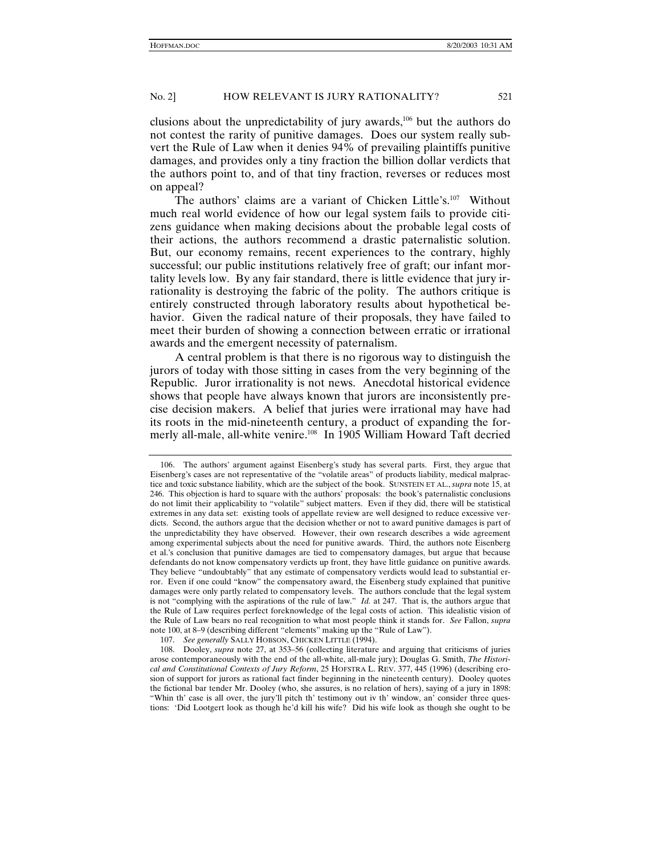clusions about the unpredictability of jury awards,106 but the authors do not contest the rarity of punitive damages. Does our system really subvert the Rule of Law when it denies 94% of prevailing plaintiffs punitive damages, and provides only a tiny fraction the billion dollar verdicts that the authors point to, and of that tiny fraction, reverses or reduces most on appeal?

The authors' claims are a variant of Chicken Little's.107 Without much real world evidence of how our legal system fails to provide citizens guidance when making decisions about the probable legal costs of their actions, the authors recommend a drastic paternalistic solution. But, our economy remains, recent experiences to the contrary, highly successful; our public institutions relatively free of graft; our infant mortality levels low. By any fair standard, there is little evidence that jury irrationality is destroying the fabric of the polity. The authors critique is entirely constructed through laboratory results about hypothetical behavior. Given the radical nature of their proposals, they have failed to meet their burden of showing a connection between erratic or irrational awards and the emergent necessity of paternalism.

A central problem is that there is no rigorous way to distinguish the jurors of today with those sitting in cases from the very beginning of the Republic. Juror irrationality is not news. Anecdotal historical evidence shows that people have always known that jurors are inconsistently precise decision makers. A belief that juries were irrational may have had its roots in the mid-nineteenth century, a product of expanding the formerly all-male, all-white venire.<sup>108</sup> In 1905 William Howard Taft decried

 <sup>106.</sup> The authors' argument against Eisenberg's study has several parts. First, they argue that Eisenberg's cases are not representative of the "volatile areas" of products liability, medical malpractice and toxic substance liability, which are the subject of the book. SUNSTEIN ET AL., *supra* note 15, at 246. This objection is hard to square with the authors' proposals: the book's paternalistic conclusions do not limit their applicability to "volatile" subject matters. Even if they did, there will be statistical extremes in any data set: existing tools of appellate review are well designed to reduce excessive verdicts. Second, the authors argue that the decision whether or not to award punitive damages is part of the unpredictability they have observed. However, their own research describes a wide agreement among experimental subjects about the need for punitive awards. Third, the authors note Eisenberg et al.'s conclusion that punitive damages are tied to compensatory damages, but argue that because defendants do not know compensatory verdicts up front, they have little guidance on punitive awards. They believe "undoubtably" that any estimate of compensatory verdicts would lead to substantial error. Even if one could "know" the compensatory award, the Eisenberg study explained that punitive damages were only partly related to compensatory levels. The authors conclude that the legal system is not "complying with the aspirations of the rule of law." *Id.* at 247. That is, the authors argue that the Rule of Law requires perfect foreknowledge of the legal costs of action. This idealistic vision of the Rule of Law bears no real recognition to what most people think it stands for. *See* Fallon, *supra* note 100, at 8–9 (describing different "elements" making up the "Rule of Law").

 <sup>107.</sup> *See generally* SALLY HOBSON, CHICKEN LITTLE (1994).

 <sup>108.</sup> Dooley, *supra* note 27, at 353–56 (collecting literature and arguing that criticisms of juries arose contemporaneously with the end of the all-white, all-male jury); Douglas G. Smith, *The Historical and Constitutional Contexts of Jury Reform*, 25 HOFSTRA L. REV. 377, 445 (1996) (describing erosion of support for jurors as rational fact finder beginning in the nineteenth century). Dooley quotes the fictional bar tender Mr. Dooley (who, she assures, is no relation of hers), saying of a jury in 1898: "Whin th' case is all over, the jury'll pitch th' testimony out iv th' window, an' consider three questions: 'Did Lootgert look as though he'd kill his wife? Did his wife look as though she ought to be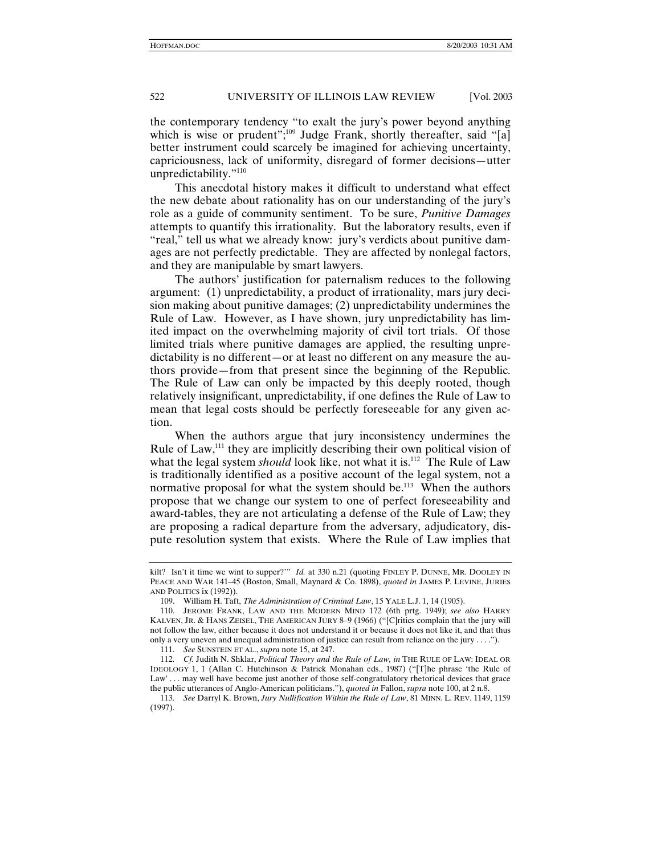the contemporary tendency "to exalt the jury's power beyond anything which is wise or prudent";<sup>109</sup> Judge Frank, shortly thereafter, said "[a] better instrument could scarcely be imagined for achieving uncertainty, capriciousness, lack of uniformity, disregard of former decisions—utter unpredictability."110

This anecdotal history makes it difficult to understand what effect the new debate about rationality has on our understanding of the jury's role as a guide of community sentiment. To be sure, *Punitive Damages* attempts to quantify this irrationality. But the laboratory results, even if "real," tell us what we already know: jury's verdicts about punitive damages are not perfectly predictable. They are affected by nonlegal factors, and they are manipulable by smart lawyers.

The authors' justification for paternalism reduces to the following argument: (1) unpredictability, a product of irrationality, mars jury decision making about punitive damages; (2) unpredictability undermines the Rule of Law. However, as I have shown, jury unpredictability has limited impact on the overwhelming majority of civil tort trials. Of those limited trials where punitive damages are applied, the resulting unpredictability is no different—or at least no different on any measure the authors provide—from that present since the beginning of the Republic. The Rule of Law can only be impacted by this deeply rooted, though relatively insignificant, unpredictability, if one defines the Rule of Law to mean that legal costs should be perfectly foreseeable for any given action.

When the authors argue that jury inconsistency undermines the Rule of Law,<sup>111</sup> they are implicitly describing their own political vision of what the legal system *should* look like, not what it is.<sup>112</sup> The Rule of Law is traditionally identified as a positive account of the legal system, not a normative proposal for what the system should be.<sup>113</sup> When the authors propose that we change our system to one of perfect foreseeability and award-tables, they are not articulating a defense of the Rule of Law; they are proposing a radical departure from the adversary, adjudicatory, dispute resolution system that exists. Where the Rule of Law implies that

kilt? Isn't it time we wint to supper?'" *Id.* at 330 n.21 (quoting FINLEY P. DUNNE, MR. DOOLEY IN PEACE AND WAR 141–45 (Boston, Small, Maynard & Co. 1898), *quoted in* JAMES P. LEVINE, JURIES AND POLITICS ix (1992)).

 <sup>109.</sup> William H. Taft, *The Administration of Criminal Law*, 15 YALE L.J. 1, 14 (1905).

 <sup>110.</sup> JEROME FRANK, LAW AND THE MODERN MIND 172 (6th prtg. 1949); *see also* HARRY KALVEN, JR. & HANS ZEISEL, THE AMERICAN JURY 8–9 (1966) ("[C]ritics complain that the jury will not follow the law, either because it does not understand it or because it does not like it, and that thus only a very uneven and unequal administration of justice can result from reliance on the jury . . . .").

<sup>111</sup>*. See* SUNSTEIN ET AL., *supra* note 15, at 247.

<sup>112</sup>*. Cf.* Judith N. Shklar, *Political Theory and the Rule of Law, in* THE RULE OF LAW: IDEAL OR IDEOLOGY 1, 1 (Allan C. Hutchinson & Patrick Monahan eds., 1987) ("[T]he phrase 'the Rule of Law'... may well have become just another of those self-congratulatory rhetorical devices that grace the public utterances of Anglo-American politicians."), *quoted in* Fallon, *supra* note 100, at 2 n.8.

<sup>113</sup>*. See* Darryl K. Brown, *Jury Nullification Within the Rule of Law*, 81 MINN. L. REV. 1149, 1159 (1997).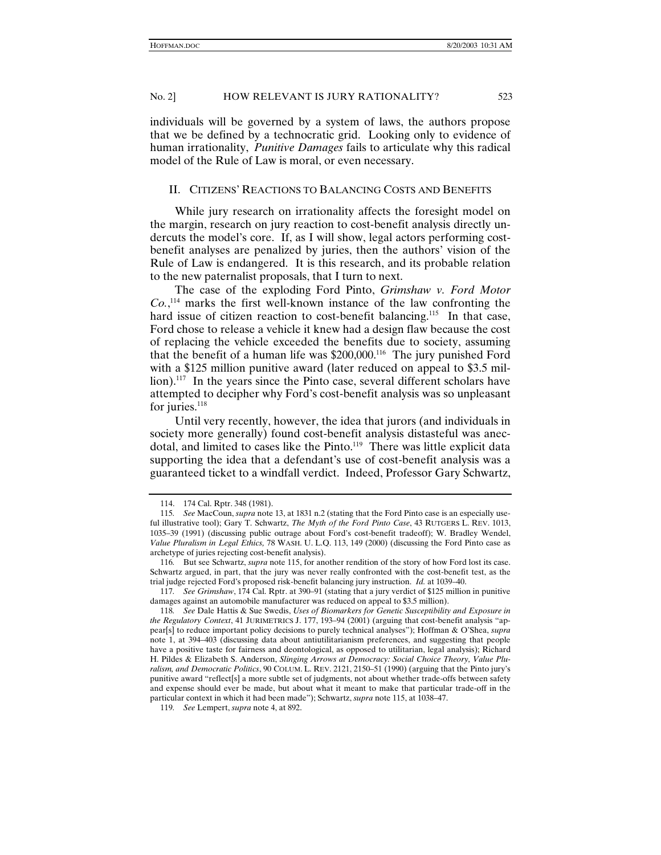individuals will be governed by a system of laws, the authors propose that we be defined by a technocratic grid. Looking only to evidence of human irrationality, *Punitive Damages* fails to articulate why this radical model of the Rule of Law is moral, or even necessary.

#### II. CITIZENS' REACTIONS TO BALANCING COSTS AND BENEFITS

While jury research on irrationality affects the foresight model on the margin, research on jury reaction to cost-benefit analysis directly undercuts the model's core. If, as I will show, legal actors performing costbenefit analyses are penalized by juries, then the authors' vision of the Rule of Law is endangered. It is this research, and its probable relation to the new paternalist proposals, that I turn to next.

The case of the exploding Ford Pinto, *Grimshaw v. Ford Motor Co.*, 114 marks the first well-known instance of the law confronting the hard issue of citizen reaction to cost-benefit balancing.<sup>115</sup> In that case, Ford chose to release a vehicle it knew had a design flaw because the cost of replacing the vehicle exceeded the benefits due to society, assuming that the benefit of a human life was \$200,000.<sup>116</sup> The jury punished Ford with a \$125 million punitive award (later reduced on appeal to \$3.5 million).<sup>117</sup> In the years since the Pinto case, several different scholars have attempted to decipher why Ford's cost-benefit analysis was so unpleasant for juries. $118$ 

Until very recently, however, the idea that jurors (and individuals in society more generally) found cost-benefit analysis distasteful was anecdotal, and limited to cases like the Pinto.<sup>119</sup> There was little explicit data supporting the idea that a defendant's use of cost-benefit analysis was a guaranteed ticket to a windfall verdict. Indeed, Professor Gary Schwartz,

 <sup>114. 174</sup> Cal. Rptr. 348 (1981).

<sup>115</sup>*. See* MacCoun, *supra* note 13, at 1831 n.2 (stating that the Ford Pinto case is an especially useful illustrative tool); Gary T. Schwartz, *The Myth of the Ford Pinto Case*, 43 RUTGERS L. REV. 1013, 1035–39 (1991) (discussing public outrage about Ford's cost-benefit tradeoff); W. Bradley Wendel, *Value Pluralism in Legal Ethics,* 78 WASH. U. L.Q. 113, 149 (2000) (discussing the Ford Pinto case as archetype of juries rejecting cost-benefit analysis).

<sup>116</sup>*.* But see Schwartz, *supra* note 115, for another rendition of the story of how Ford lost its case. Schwartz argued, in part, that the jury was never really confronted with the cost-benefit test, as the trial judge rejected Ford's proposed risk-benefit balancing jury instruction. *Id.* at 1039–40.

<sup>117</sup>*. See Grimshaw*, 174 Cal. Rptr. at 390–91 (stating that a jury verdict of \$125 million in punitive damages against an automobile manufacturer was reduced on appeal to \$3.5 million).

<sup>118</sup>*. See* Dale Hattis & Sue Swedis, *Uses of Biomarkers for Genetic Susceptibility and Exposure in the Regulatory Context*, 41 JURIMETRICS J. 177, 193–94 (2001) (arguing that cost-benefit analysis "appear[s] to reduce important policy decisions to purely technical analyses"); Hoffman & O'Shea, *supra* note 1, at 394–403 (discussing data about antiutilitarianism preferences, and suggesting that people have a positive taste for fairness and deontological, as opposed to utilitarian, legal analysis); Richard H. Pildes & Elizabeth S. Anderson, *Slinging Arrows at Democracy: Social Choice Theory, Value Pluralism, and Democratic Politics*, 90 COLUM. L. REV. 2121, 2150–51 (1990) (arguing that the Pinto jury's punitive award "reflect[s] a more subtle set of judgments, not about whether trade-offs between safety and expense should ever be made, but about what it meant to make that particular trade-off in the particular context in which it had been made"); Schwartz, *supra* note 115, at 1038–47.

<sup>119</sup>*. See* Lempert, *supra* note 4, at 892.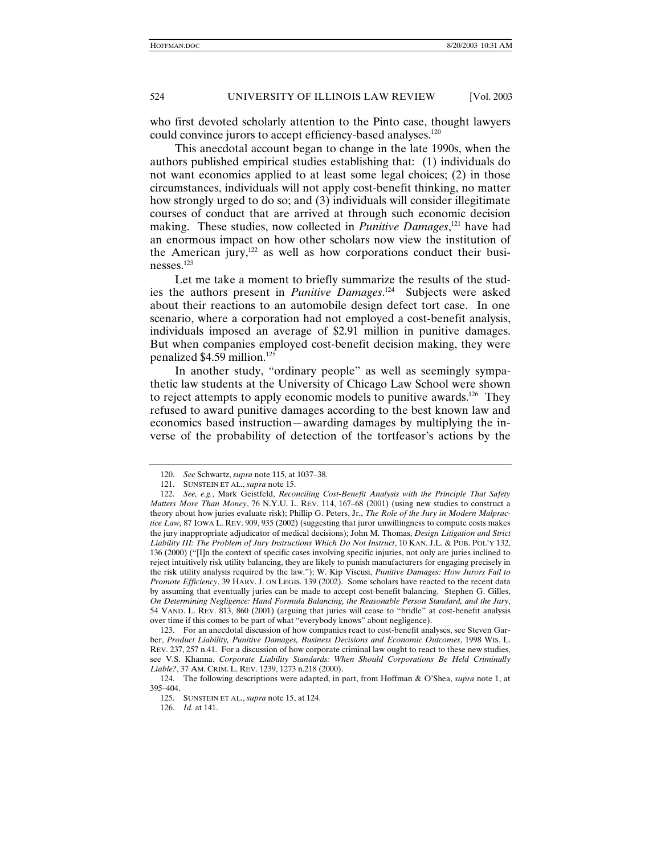who first devoted scholarly attention to the Pinto case, thought lawyers could convince jurors to accept efficiency-based analyses.<sup>120</sup>

This anecdotal account began to change in the late 1990s, when the authors published empirical studies establishing that: (1) individuals do not want economics applied to at least some legal choices; (2) in those circumstances, individuals will not apply cost-benefit thinking, no matter how strongly urged to do so; and (3) individuals will consider illegitimate courses of conduct that are arrived at through such economic decision making. These studies, now collected in *Punitive Damages*, 121 have had an enormous impact on how other scholars now view the institution of the American jury, $122$  as well as how corporations conduct their businesses.123

Let me take a moment to briefly summarize the results of the studies the authors present in *Punitive Damages*. 124 Subjects were asked about their reactions to an automobile design defect tort case. In one scenario, where a corporation had not employed a cost-benefit analysis, individuals imposed an average of \$2.91 million in punitive damages. But when companies employed cost-benefit decision making, they were penalized \$4.59 million.125

In another study, "ordinary people" as well as seemingly sympathetic law students at the University of Chicago Law School were shown to reject attempts to apply economic models to punitive awards.126 They refused to award punitive damages according to the best known law and economics based instruction—awarding damages by multiplying the inverse of the probability of detection of the tortfeasor's actions by the

<sup>120</sup>*. See* Schwartz, *supra* note 115, at 1037–38.

 <sup>121.</sup> SUNSTEIN ET AL., *supra* note 15.

<sup>122</sup>*. See, e.g.*, Mark Geistfeld, *Reconciling Cost-Benefit Analysis with the Principle That Safety Matters More Than Money*, 76 N.Y.U. L. REV. 114, 167–68 (2001) (using new studies to construct a theory about how juries evaluate risk); Phillip G. Peters, Jr., *The Role of the Jury in Modern Malpractice Law,* 87 IOWA L. REV. 909, 935 (2002) (suggesting that juror unwillingness to compute costs makes the jury inappropriate adjudicator of medical decisions); John M. Thomas, *Design Litigation and Strict Liability III: The Problem of Jury Instructions Which Do Not Instruct*, 10 KAN. J.L. & PUB. POL'Y 132, 136 (2000) ("[I]n the context of specific cases involving specific injuries, not only are juries inclined to reject intuitively risk utility balancing, they are likely to punish manufacturers for engaging precisely in the risk utility analysis required by the law."); W. Kip Viscusi, *Punitive Damages: How Jurors Fail to Promote Efficiency*, 39 HARV. J. ON LEGIS. 139 (2002). Some scholars have reacted to the recent data by assuming that eventually juries can be made to accept cost-benefit balancing. Stephen G. Gilles, *On Determining Negligence: Hand Formula Balancing, the Reasonable Person Standard, and the Jury*, 54 VAND. L. REV. 813, 860 (2001) (arguing that juries will cease to "bridle" at cost-benefit analysis over time if this comes to be part of what "everybody knows" about negligence).

 <sup>123.</sup> For an anecdotal discussion of how companies react to cost-benefit analyses, see Steven Garber, *Product Liability, Punitive Damages, Business Decisions and Economic Outcomes*, 1998 WIS. L. REV. 237, 257 n.41. For a discussion of how corporate criminal law ought to react to these new studies, see V.S. Khanna, *Corporate Liability Standards: When Should Corporations Be Held Criminally Liable?*, 37 AM. CRIM. L. REV. 1239, 1273 n.218 (2000).

 <sup>124.</sup> The following descriptions were adapted, in part, from Hoffman & O'Shea, *supra* note 1, at 395–404.

 <sup>125.</sup> SUNSTEIN ET AL., *supra* note 15, at 124.

<sup>126</sup>*. Id.* at 141.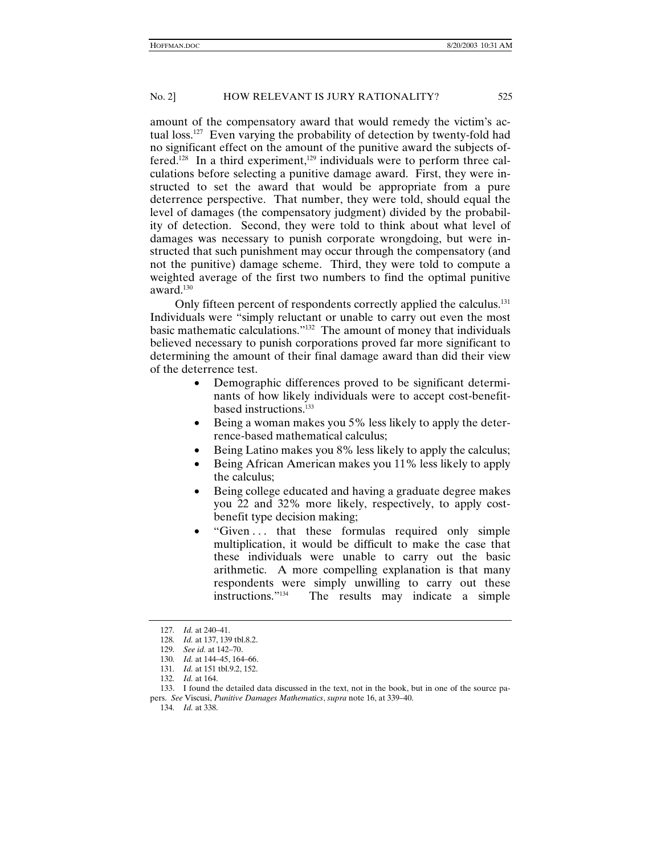amount of the compensatory award that would remedy the victim's actual loss.127 Even varying the probability of detection by twenty-fold had no significant effect on the amount of the punitive award the subjects offered.<sup>128</sup> In a third experiment,<sup>129</sup> individuals were to perform three calculations before selecting a punitive damage award. First, they were instructed to set the award that would be appropriate from a pure deterrence perspective. That number, they were told, should equal the level of damages (the compensatory judgment) divided by the probability of detection. Second, they were told to think about what level of damages was necessary to punish corporate wrongdoing, but were instructed that such punishment may occur through the compensatory (and not the punitive) damage scheme. Third, they were told to compute a weighted average of the first two numbers to find the optimal punitive award.130

Only fifteen percent of respondents correctly applied the calculus.<sup>131</sup> Individuals were "simply reluctant or unable to carry out even the most basic mathematic calculations."132 The amount of money that individuals believed necessary to punish corporations proved far more significant to determining the amount of their final damage award than did their view of the deterrence test.

- Demographic differences proved to be significant determinants of how likely individuals were to accept cost-benefitbased instructions.<sup>133</sup>
- Being a woman makes you 5% less likely to apply the deterrence-based mathematical calculus;
- Being Latino makes you 8% less likely to apply the calculus;
- Being African American makes you 11% less likely to apply the calculus;
- Being college educated and having a graduate degree makes you 22 and 32% more likely, respectively, to apply costbenefit type decision making;
- "Given . . . that these formulas required only simple multiplication, it would be difficult to make the case that these individuals were unable to carry out the basic arithmetic. A more compelling explanation is that many respondents were simply unwilling to carry out these instructions."134 The results may indicate a simple

<sup>127</sup>*. Id.* at 240–41.

<sup>128</sup>*. Id.* at 137, 139 tbl.8.2.

<sup>129</sup>*. See id.* at 142–70.

<sup>130</sup>*. Id.* at 144–45, 164–66.

<sup>131</sup>*. Id.* at 151 tbl.9.2, 152.

<sup>132</sup>*. Id.* at 164.

 <sup>133.</sup> I found the detailed data discussed in the text, not in the book, but in one of the source papers. *See* Viscusi, *Punitive Damages Mathematics*, *supra* note 16, at 339–40.

<sup>134</sup>*. Id.* at 338.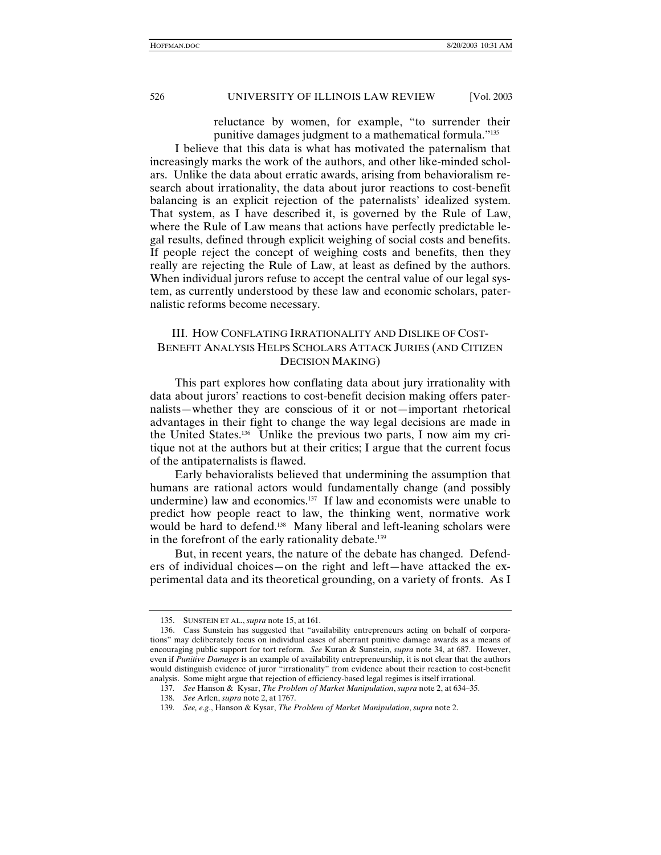reluctance by women, for example, "to surrender their punitive damages judgment to a mathematical formula."135

I believe that this data is what has motivated the paternalism that increasingly marks the work of the authors, and other like-minded scholars. Unlike the data about erratic awards, arising from behavioralism research about irrationality, the data about juror reactions to cost-benefit balancing is an explicit rejection of the paternalists' idealized system. That system, as I have described it, is governed by the Rule of Law, where the Rule of Law means that actions have perfectly predictable legal results, defined through explicit weighing of social costs and benefits. If people reject the concept of weighing costs and benefits, then they really are rejecting the Rule of Law, at least as defined by the authors. When individual jurors refuse to accept the central value of our legal system, as currently understood by these law and economic scholars, paternalistic reforms become necessary.

# III. HOW CONFLATING IRRATIONALITY AND DISLIKE OF COST-BENEFIT ANALYSIS HELPS SCHOLARS ATTACK JURIES (AND CITIZEN DECISION MAKING)

This part explores how conflating data about jury irrationality with data about jurors' reactions to cost-benefit decision making offers paternalists—whether they are conscious of it or not—important rhetorical advantages in their fight to change the way legal decisions are made in the United States.136 Unlike the previous two parts, I now aim my critique not at the authors but at their critics; I argue that the current focus of the antipaternalists is flawed.

Early behavioralists believed that undermining the assumption that humans are rational actors would fundamentally change (and possibly undermine) law and economics.137 If law and economists were unable to predict how people react to law, the thinking went, normative work would be hard to defend.<sup>138</sup> Many liberal and left-leaning scholars were in the forefront of the early rationality debate.<sup>139</sup>

But, in recent years, the nature of the debate has changed. Defenders of individual choices—on the right and left—have attacked the experimental data and its theoretical grounding, on a variety of fronts. As I

 <sup>135.</sup> SUNSTEIN ET AL., *supra* note 15, at 161.

 <sup>136.</sup> Cass Sunstein has suggested that "availability entrepreneurs acting on behalf of corporations" may deliberately focus on individual cases of aberrant punitive damage awards as a means of encouraging public support for tort reform. *See* Kuran & Sunstein, *supra* note 34, at 687. However, even if *Punitive Damages* is an example of availability entrepreneurship, it is not clear that the authors would distinguish evidence of juror "irrationality" from evidence about their reaction to cost-benefit analysis. Some might argue that rejection of efficiency-based legal regimes is itself irrational.

<sup>137</sup>*. See* Hanson & Kysar, *The Problem of Market Manipulation*, *supra* note 2, at 634–35.

<sup>138</sup>*. See* Arlen, *supra* note 2, at 1767.

<sup>139</sup>*. See, e.g*., Hanson & Kysar, *The Problem of Market Manipulation*, *supra* note 2.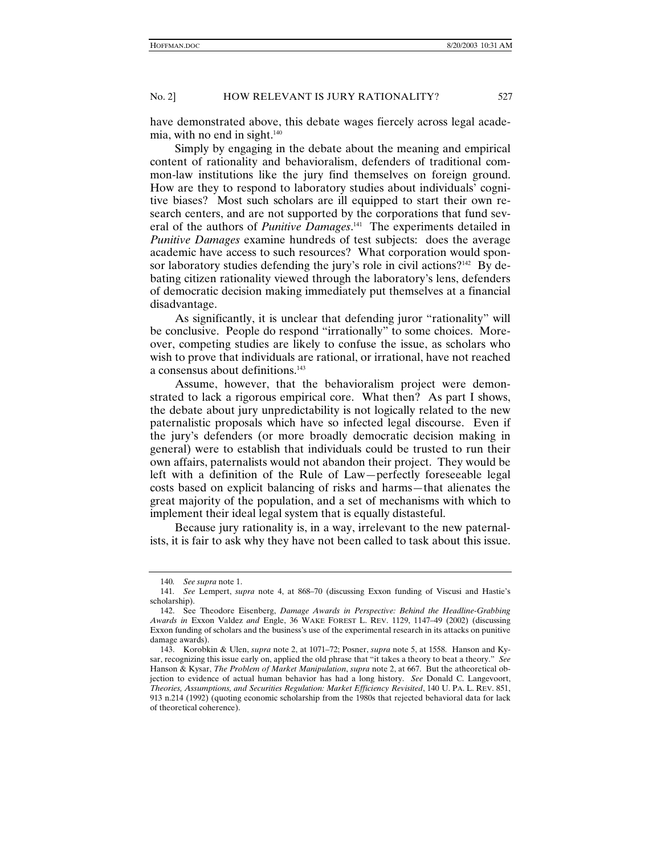have demonstrated above, this debate wages fiercely across legal academia, with no end in sight. $140$ 

Simply by engaging in the debate about the meaning and empirical content of rationality and behavioralism, defenders of traditional common-law institutions like the jury find themselves on foreign ground. How are they to respond to laboratory studies about individuals' cognitive biases? Most such scholars are ill equipped to start their own research centers, and are not supported by the corporations that fund several of the authors of *Punitive Damages*. 141 The experiments detailed in *Punitive Damages* examine hundreds of test subjects: does the average academic have access to such resources? What corporation would sponsor laboratory studies defending the jury's role in civil actions?<sup>142</sup> By debating citizen rationality viewed through the laboratory's lens, defenders of democratic decision making immediately put themselves at a financial disadvantage.

As significantly, it is unclear that defending juror "rationality" will be conclusive. People do respond "irrationally" to some choices. Moreover, competing studies are likely to confuse the issue, as scholars who wish to prove that individuals are rational, or irrational, have not reached a consensus about definitions.143

Assume, however, that the behavioralism project were demonstrated to lack a rigorous empirical core. What then? As part I shows, the debate about jury unpredictability is not logically related to the new paternalistic proposals which have so infected legal discourse. Even if the jury's defenders (or more broadly democratic decision making in general) were to establish that individuals could be trusted to run their own affairs, paternalists would not abandon their project. They would be left with a definition of the Rule of Law—perfectly foreseeable legal costs based on explicit balancing of risks and harms—that alienates the great majority of the population, and a set of mechanisms with which to implement their ideal legal system that is equally distasteful.

Because jury rationality is, in a way, irrelevant to the new paternalists, it is fair to ask why they have not been called to task about this issue.

<sup>140</sup>*. See supra* note 1.

<sup>141</sup>*. See* Lempert, *supra* note 4, at 868–70 (discussing Exxon funding of Viscusi and Hastie's scholarship).

 <sup>142.</sup> See Theodore Eisenberg, *Damage Awards in Perspective: Behind the Headline-Grabbing Awards in* Exxon Valdez *and* Engle, 36 WAKE FOREST L. REV. 1129, 1147–49 (2002) (discussing Exxon funding of scholars and the business's use of the experimental research in its attacks on punitive damage awards).

 <sup>143.</sup> Korobkin & Ulen, *supra* note 2, at 1071–72; Posner, *supra* note 5, at 1558. Hanson and Kysar, recognizing this issue early on, applied the old phrase that "it takes a theory to beat a theory." *See* Hanson & Kysar, *The Problem of Market Manipulation*, *supra* note 2, at 667. But the atheoretical objection to evidence of actual human behavior has had a long history. *See* Donald C. Langevoort, *Theories, Assumptions, and Securities Regulation: Market Efficiency Revisited*, 140 U. PA. L. REV. 851, 913 n.214 (1992) (quoting economic scholarship from the 1980s that rejected behavioral data for lack of theoretical coherence).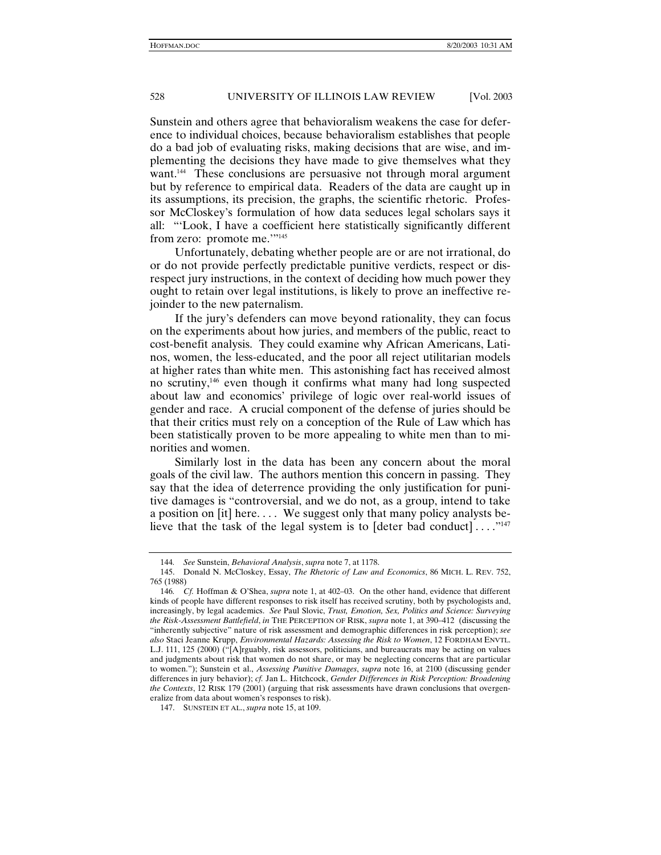Sunstein and others agree that behavioralism weakens the case for deference to individual choices, because behavioralism establishes that people do a bad job of evaluating risks, making decisions that are wise, and implementing the decisions they have made to give themselves what they want.144 These conclusions are persuasive not through moral argument but by reference to empirical data. Readers of the data are caught up in its assumptions, its precision, the graphs, the scientific rhetoric. Professor McCloskey's formulation of how data seduces legal scholars says it all: "'Look, I have a coefficient here statistically significantly different from zero: promote me."<sup>145</sup>

Unfortunately, debating whether people are or are not irrational, do or do not provide perfectly predictable punitive verdicts, respect or disrespect jury instructions, in the context of deciding how much power they ought to retain over legal institutions, is likely to prove an ineffective rejoinder to the new paternalism.

If the jury's defenders can move beyond rationality, they can focus on the experiments about how juries, and members of the public, react to cost-benefit analysis. They could examine why African Americans, Latinos, women, the less-educated, and the poor all reject utilitarian models at higher rates than white men. This astonishing fact has received almost no scrutiny,<sup>146</sup> even though it confirms what many had long suspected about law and economics' privilege of logic over real-world issues of gender and race. A crucial component of the defense of juries should be that their critics must rely on a conception of the Rule of Law which has been statistically proven to be more appealing to white men than to minorities and women.

Similarly lost in the data has been any concern about the moral goals of the civil law. The authors mention this concern in passing. They say that the idea of deterrence providing the only justification for punitive damages is "controversial, and we do not, as a group, intend to take a position on [it] here. . . . We suggest only that many policy analysts believe that the task of the legal system is to  $\lceil \det$  bad conduct $\rceil \ldots \cdot^{n_{147}}$ 

<sup>144</sup>*. See* Sunstein, *Behavioral Analysis*, *supra* note 7, at 1178.

 <sup>145.</sup> Donald N. McCloskey, Essay, *The Rhetoric of Law and Economics*, 86 MICH. L. REV. 752, 765 (1988)

<sup>146</sup>*. Cf.* Hoffman & O'Shea, *supra* note 1, at 402–03. On the other hand, evidence that different kinds of people have different responses to risk itself has received scrutiny, both by psychologists and, increasingly, by legal academics. *See* Paul Slovic, *Trust, Emotion, Sex, Politics and Science: Surveying the Risk-Assessment Battlefield*, *in* THE PERCEPTION OF RISK, *supra* note 1, at 390–412 (discussing the "inherently subjective" nature of risk assessment and demographic differences in risk perception); *see also* Staci Jeanne Krupp, *Environmental Hazards: Assessing the Risk to Women*, 12 FORDHAM ENVTL. L.J. 111, 125 (2000) ("[A]rguably, risk assessors, politicians, and bureaucrats may be acting on values and judgments about risk that women do not share, or may be neglecting concerns that are particular to women."); Sunstein et al., *Assessing Punitive Damages*, *supra* note 16, at 2100 (discussing gender differences in jury behavior); *cf.* Jan L. Hitchcock, *Gender Differences in Risk Perception: Broadening the Contexts*, 12 RISK 179 (2001) (arguing that risk assessments have drawn conclusions that overgeneralize from data about women's responses to risk).

 <sup>147.</sup> SUNSTEIN ET AL., *supra* note 15, at 109.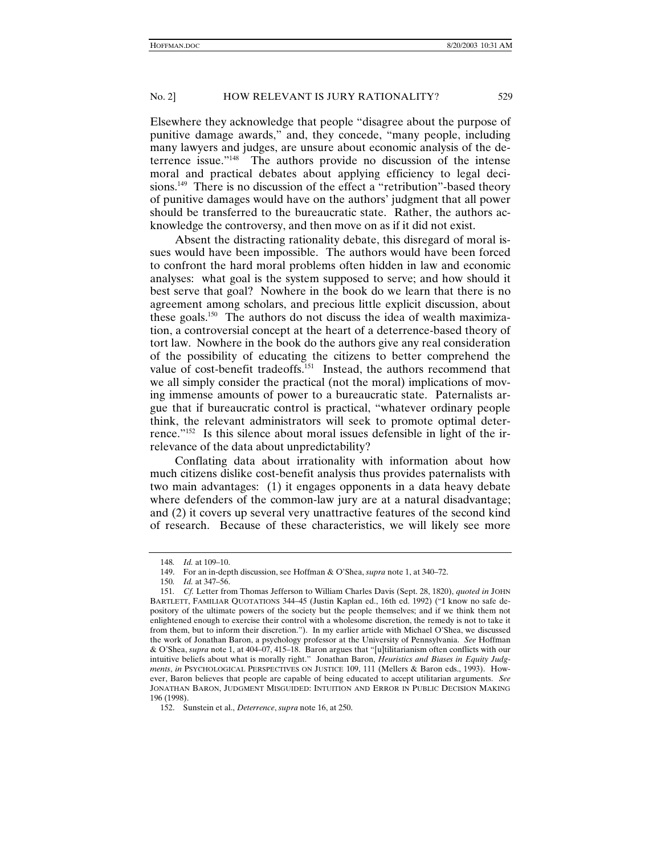Elsewhere they acknowledge that people "disagree about the purpose of punitive damage awards," and, they concede, "many people, including many lawyers and judges, are unsure about economic analysis of the deterrence issue."148 The authors provide no discussion of the intense moral and practical debates about applying efficiency to legal decisions.<sup>149</sup> There is no discussion of the effect a "retribution"-based theory of punitive damages would have on the authors' judgment that all power should be transferred to the bureaucratic state. Rather, the authors acknowledge the controversy, and then move on as if it did not exist.

Absent the distracting rationality debate, this disregard of moral issues would have been impossible. The authors would have been forced to confront the hard moral problems often hidden in law and economic analyses: what goal is the system supposed to serve; and how should it best serve that goal? Nowhere in the book do we learn that there is no agreement among scholars, and precious little explicit discussion, about these goals.150 The authors do not discuss the idea of wealth maximization, a controversial concept at the heart of a deterrence-based theory of tort law. Nowhere in the book do the authors give any real consideration of the possibility of educating the citizens to better comprehend the value of cost-benefit tradeoffs.<sup>151</sup> Instead, the authors recommend that we all simply consider the practical (not the moral) implications of moving immense amounts of power to a bureaucratic state. Paternalists argue that if bureaucratic control is practical, "whatever ordinary people think, the relevant administrators will seek to promote optimal deterrence."152 Is this silence about moral issues defensible in light of the irrelevance of the data about unpredictability?

Conflating data about irrationality with information about how much citizens dislike cost-benefit analysis thus provides paternalists with two main advantages: (1) it engages opponents in a data heavy debate where defenders of the common-law jury are at a natural disadvantage; and (2) it covers up several very unattractive features of the second kind of research. Because of these characteristics, we will likely see more

<sup>148</sup>*. Id.* at 109–10.

 <sup>149.</sup> For an in-depth discussion, see Hoffman & O'Shea, *supra* note 1, at 340–72.

<sup>150</sup>*. Id.* at 347–56.

<sup>151</sup>*. Cf.* Letter from Thomas Jefferson to William Charles Davis (Sept. 28, 1820), *quoted in* JOHN BARTLETT, FAMILIAR QUOTATIONS 344–45 (Justin Kaplan ed., 16th ed. 1992) ("I know no safe depository of the ultimate powers of the society but the people themselves; and if we think them not enlightened enough to exercise their control with a wholesome discretion, the remedy is not to take it from them, but to inform their discretion."). In my earlier article with Michael O'Shea, we discussed the work of Jonathan Baron, a psychology professor at the University of Pennsylvania. *See* Hoffman & O'Shea, *supra* note 1, at 404–07, 415–18. Baron argues that "[u]tilitarianism often conflicts with our intuitive beliefs about what is morally right." Jonathan Baron, *Heuristics and Biases in Equity Judgments*, *in* PSYCHOLOGICAL PERSPECTIVES ON JUSTICE 109, 111 (Mellers & Baron eds., 1993). However, Baron believes that people are capable of being educated to accept utilitarian arguments. *See* JONATHAN BARON, JUDGMENT MISGUIDED: INTUITION AND ERROR IN PUBLIC DECISION MAKING 196 (1998).

 <sup>152.</sup> Sunstein et al., *Deterrence*, *supra* note 16, at 250.